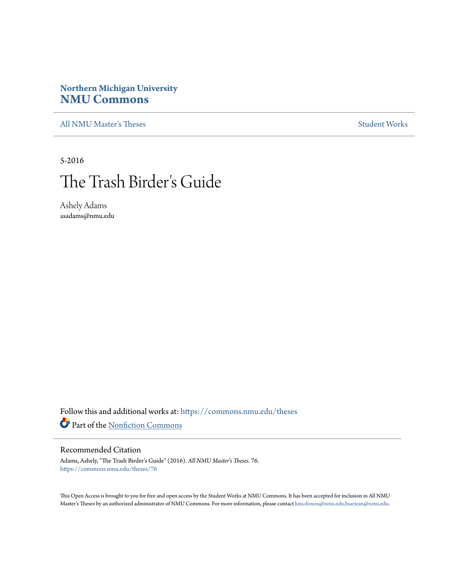# **Northern Michigan University [NMU Commons](https://commons.nmu.edu?utm_source=commons.nmu.edu%2Ftheses%2F76&utm_medium=PDF&utm_campaign=PDFCoverPages)**

[All NMU Master's Theses](https://commons.nmu.edu/theses?utm_source=commons.nmu.edu%2Ftheses%2F76&utm_medium=PDF&utm_campaign=PDFCoverPages) [Student Works](https://commons.nmu.edu/student_works?utm_source=commons.nmu.edu%2Ftheses%2F76&utm_medium=PDF&utm_campaign=PDFCoverPages)

5-2016

# The Trash Birder 's Guide

Ashely Adams asadams@nmu.edu

Follow this and additional works at: [https://commons.nmu.edu/theses](https://commons.nmu.edu/theses?utm_source=commons.nmu.edu%2Ftheses%2F76&utm_medium=PDF&utm_campaign=PDFCoverPages) Part of the [Nonfiction Commons](http://network.bepress.com/hgg/discipline/1152?utm_source=commons.nmu.edu%2Ftheses%2F76&utm_medium=PDF&utm_campaign=PDFCoverPages)

#### Recommended Citation

Adams, Ashely, "The Trash Birder's Guide" (2016). *All NMU Master's Theses*. 76. [https://commons.nmu.edu/theses/76](https://commons.nmu.edu/theses/76?utm_source=commons.nmu.edu%2Ftheses%2F76&utm_medium=PDF&utm_campaign=PDFCoverPages)

This Open Access is brought to you for free and open access by the Student Works at NMU Commons. It has been accepted for inclusion in All NMU Master's Theses by an authorized administrator of NMU Commons. For more information, please contact [kmcdonou@nmu.edu,bsarjean@nmu.edu.](mailto:kmcdonou@nmu.edu,bsarjean@nmu.edu)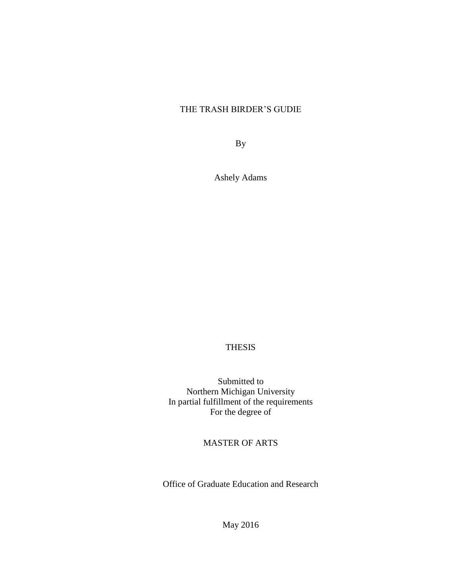## THE TRASH BIRDER'S GUDIE

By

Ashely Adams

## THESIS

Submitted to Northern Michigan University In partial fulfillment of the requirements For the degree of

MASTER OF ARTS

Office of Graduate Education and Research

May 2016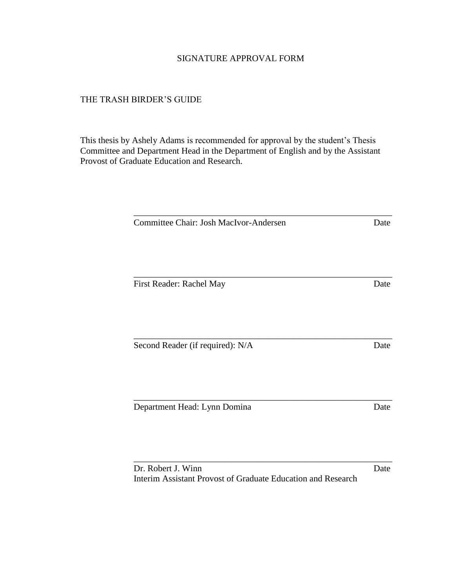## SIGNATURE APPROVAL FORM

## THE TRASH BIRDER'S GUIDE

This thesis by Ashely Adams is recommended for approval by the student's Thesis Committee and Department Head in the Department of English and by the Assistant Provost of Graduate Education and Research.

| Committee Chair: Josh MacIvor-Andersen | Date |
|----------------------------------------|------|
| First Reader: Rachel May               | Date |
| Second Reader (if required): N/A       | Date |
| Department Head: Lynn Domina           | Date |

Dr. Robert J. Winn Date Interim Assistant Provost of Graduate Education and Research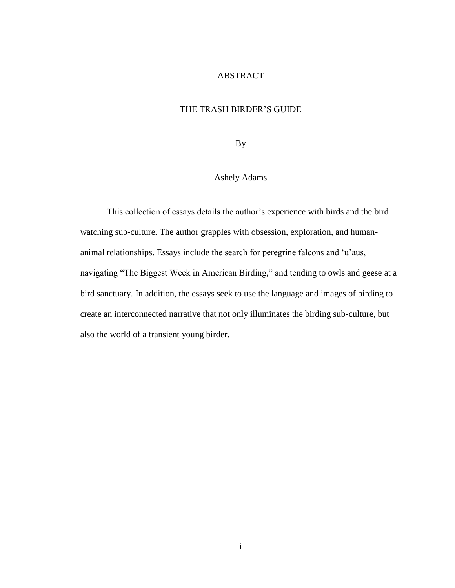## ABSTRACT

## THE TRASH BIRDER'S GUIDE

By

## Ashely Adams

This collection of essays details the author's experience with birds and the bird watching sub-culture. The author grapples with obsession, exploration, and humananimal relationships. Essays include the search for peregrine falcons and 'u'aus, navigating "The Biggest Week in American Birding," and tending to owls and geese at a bird sanctuary. In addition, the essays seek to use the language and images of birding to create an interconnected narrative that not only illuminates the birding sub-culture, but also the world of a transient young birder.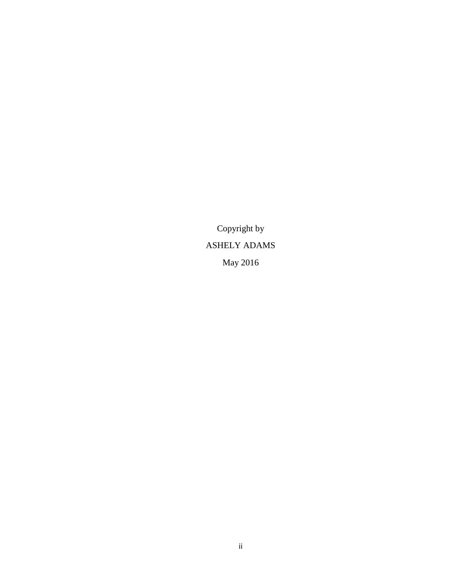Copyright by ASHELY ADAMS May 2016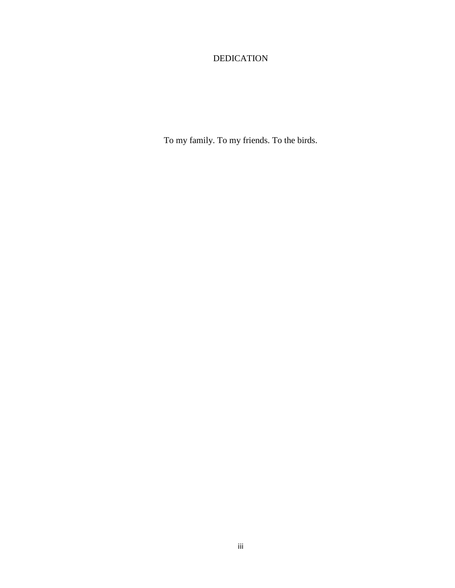## DEDICATION

To my family. To my friends. To the birds.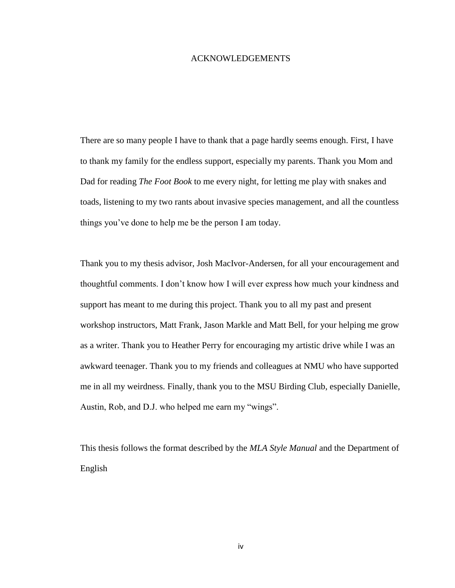#### ACKNOWLEDGEMENTS

There are so many people I have to thank that a page hardly seems enough. First, I have to thank my family for the endless support, especially my parents. Thank you Mom and Dad for reading *The Foot Book* to me every night, for letting me play with snakes and toads, listening to my two rants about invasive species management, and all the countless things you've done to help me be the person I am today.

Thank you to my thesis advisor, Josh MacIvor-Andersen, for all your encouragement and thoughtful comments. I don't know how I will ever express how much your kindness and support has meant to me during this project. Thank you to all my past and present workshop instructors, Matt Frank, Jason Markle and Matt Bell, for your helping me grow as a writer. Thank you to Heather Perry for encouraging my artistic drive while I was an awkward teenager. Thank you to my friends and colleagues at NMU who have supported me in all my weirdness. Finally, thank you to the MSU Birding Club, especially Danielle, Austin, Rob, and D.J. who helped me earn my "wings".

This thesis follows the format described by the *MLA Style Manual* and the Department of English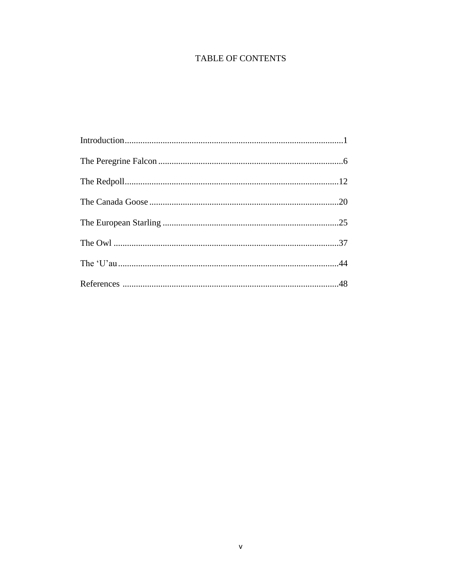## **TABLE OF CONTENTS**

| $\label{eq:1} \text{Introduction}\hspace{1cm}\hspace{1cm}\hspace{1cm}\hspace{1cm}\hspace{1cm}$ |  |
|------------------------------------------------------------------------------------------------|--|
|                                                                                                |  |
|                                                                                                |  |
|                                                                                                |  |
|                                                                                                |  |
|                                                                                                |  |
|                                                                                                |  |
|                                                                                                |  |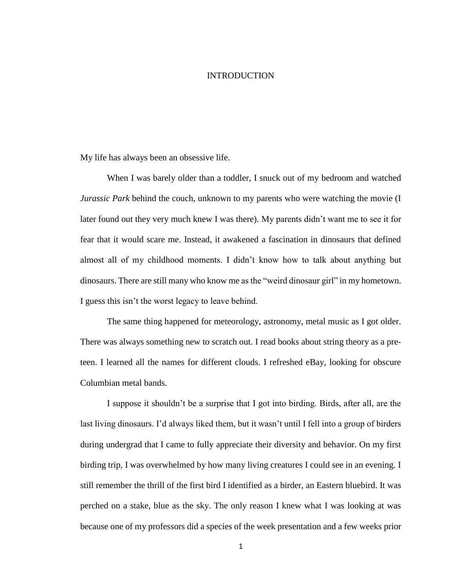#### INTRODUCTION

My life has always been an obsessive life.

When I was barely older than a toddler, I snuck out of my bedroom and watched *Jurassic Park* behind the couch, unknown to my parents who were watching the movie (I later found out they very much knew I was there). My parents didn't want me to see it for fear that it would scare me. Instead, it awakened a fascination in dinosaurs that defined almost all of my childhood moments. I didn't know how to talk about anything but dinosaurs. There are still many who know me as the "weird dinosaur girl" in my hometown. I guess this isn't the worst legacy to leave behind.

The same thing happened for meteorology, astronomy, metal music as I got older. There was always something new to scratch out. I read books about string theory as a preteen. I learned all the names for different clouds. I refreshed eBay, looking for obscure Columbian metal bands.

I suppose it shouldn't be a surprise that I got into birding. Birds, after all, are the last living dinosaurs. I'd always liked them, but it wasn't until I fell into a group of birders during undergrad that I came to fully appreciate their diversity and behavior. On my first birding trip, I was overwhelmed by how many living creatures I could see in an evening. I still remember the thrill of the first bird I identified as a birder, an Eastern bluebird. It was perched on a stake, blue as the sky. The only reason I knew what I was looking at was because one of my professors did a species of the week presentation and a few weeks prior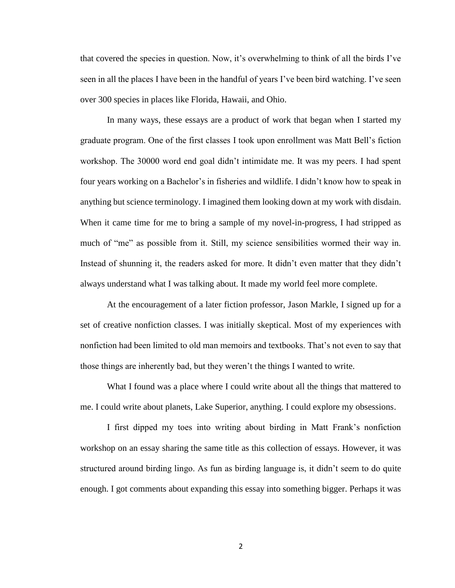that covered the species in question. Now, it's overwhelming to think of all the birds I've seen in all the places I have been in the handful of years I've been bird watching. I've seen over 300 species in places like Florida, Hawaii, and Ohio.

In many ways, these essays are a product of work that began when I started my graduate program. One of the first classes I took upon enrollment was Matt Bell's fiction workshop. The 30000 word end goal didn't intimidate me. It was my peers. I had spent four years working on a Bachelor's in fisheries and wildlife. I didn't know how to speak in anything but science terminology. I imagined them looking down at my work with disdain. When it came time for me to bring a sample of my novel-in-progress, I had stripped as much of "me" as possible from it. Still, my science sensibilities wormed their way in. Instead of shunning it, the readers asked for more. It didn't even matter that they didn't always understand what I was talking about. It made my world feel more complete.

At the encouragement of a later fiction professor, Jason Markle, I signed up for a set of creative nonfiction classes. I was initially skeptical. Most of my experiences with nonfiction had been limited to old man memoirs and textbooks. That's not even to say that those things are inherently bad, but they weren't the things I wanted to write.

What I found was a place where I could write about all the things that mattered to me. I could write about planets, Lake Superior, anything. I could explore my obsessions.

I first dipped my toes into writing about birding in Matt Frank's nonfiction workshop on an essay sharing the same title as this collection of essays. However, it was structured around birding lingo. As fun as birding language is, it didn't seem to do quite enough. I got comments about expanding this essay into something bigger. Perhaps it was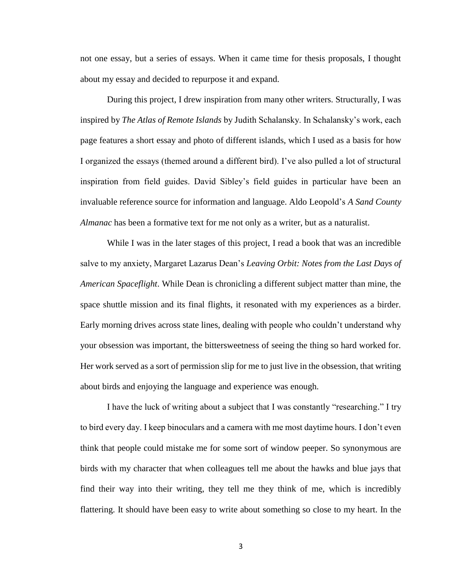not one essay, but a series of essays. When it came time for thesis proposals, I thought about my essay and decided to repurpose it and expand.

During this project, I drew inspiration from many other writers. Structurally, I was inspired by *The Atlas of Remote Islands* by Judith Schalansky. In Schalansky's work, each page features a short essay and photo of different islands, which I used as a basis for how I organized the essays (themed around a different bird). I've also pulled a lot of structural inspiration from field guides. David Sibley's field guides in particular have been an invaluable reference source for information and language. Aldo Leopold's *A Sand County Almanac* has been a formative text for me not only as a writer, but as a naturalist.

While I was in the later stages of this project, I read a book that was an incredible salve to my anxiety, Margaret Lazarus Dean's *Leaving Orbit: Notes from the Last Days of American Spaceflight*. While Dean is chronicling a different subject matter than mine, the space shuttle mission and its final flights, it resonated with my experiences as a birder. Early morning drives across state lines, dealing with people who couldn't understand why your obsession was important, the bittersweetness of seeing the thing so hard worked for. Her work served as a sort of permission slip for me to just live in the obsession, that writing about birds and enjoying the language and experience was enough.

I have the luck of writing about a subject that I was constantly "researching." I try to bird every day. I keep binoculars and a camera with me most daytime hours. I don't even think that people could mistake me for some sort of window peeper. So synonymous are birds with my character that when colleagues tell me about the hawks and blue jays that find their way into their writing, they tell me they think of me, which is incredibly flattering. It should have been easy to write about something so close to my heart. In the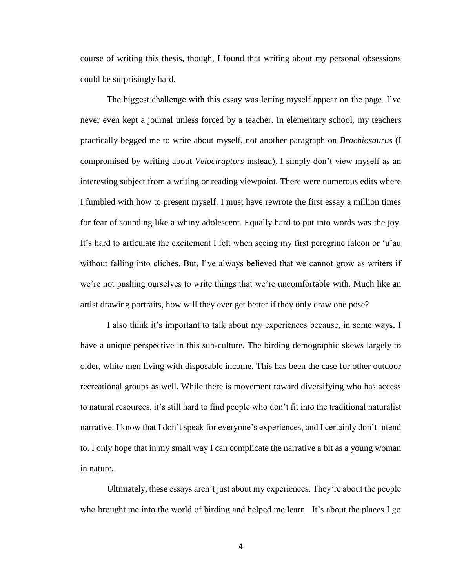course of writing this thesis, though, I found that writing about my personal obsessions could be surprisingly hard.

The biggest challenge with this essay was letting myself appear on the page. I've never even kept a journal unless forced by a teacher. In elementary school, my teachers practically begged me to write about myself, not another paragraph on *Brachiosaurus* (I compromised by writing about *Velociraptors* instead). I simply don't view myself as an interesting subject from a writing or reading viewpoint. There were numerous edits where I fumbled with how to present myself. I must have rewrote the first essay a million times for fear of sounding like a whiny adolescent. Equally hard to put into words was the joy. It's hard to articulate the excitement I felt when seeing my first peregrine falcon or 'u'au without falling into clichés. But, I've always believed that we cannot grow as writers if we're not pushing ourselves to write things that we're uncomfortable with. Much like an artist drawing portraits, how will they ever get better if they only draw one pose?

I also think it's important to talk about my experiences because, in some ways, I have a unique perspective in this sub-culture. The birding demographic skews largely to older, white men living with disposable income. This has been the case for other outdoor recreational groups as well. While there is movement toward diversifying who has access to natural resources, it's still hard to find people who don't fit into the traditional naturalist narrative. I know that I don't speak for everyone's experiences, and I certainly don't intend to. I only hope that in my small way I can complicate the narrative a bit as a young woman in nature.

Ultimately, these essays aren't just about my experiences. They're about the people who brought me into the world of birding and helped me learn. It's about the places I go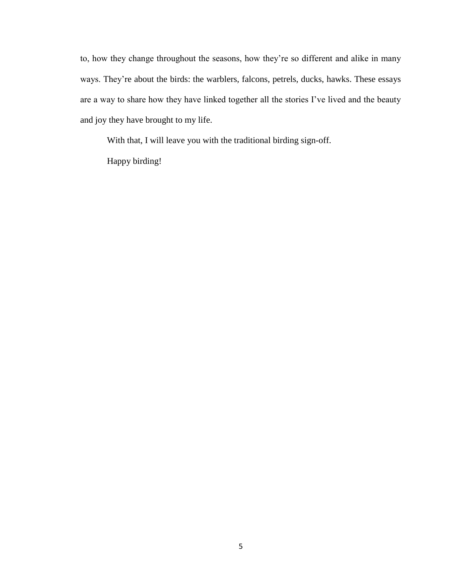to, how they change throughout the seasons, how they're so different and alike in many ways. They're about the birds: the warblers, falcons, petrels, ducks, hawks. These essays are a way to share how they have linked together all the stories I've lived and the beauty and joy they have brought to my life.

With that, I will leave you with the traditional birding sign-off.

Happy birding!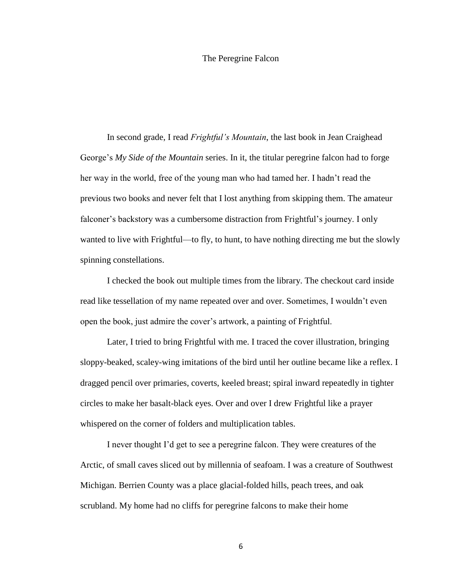#### The Peregrine Falcon

In second grade, I read *Frightful's Mountain*, the last book in Jean Craighead George's *My Side of the Mountain* series. In it, the titular peregrine falcon had to forge her way in the world, free of the young man who had tamed her. I hadn't read the previous two books and never felt that I lost anything from skipping them. The amateur falconer's backstory was a cumbersome distraction from Frightful's journey. I only wanted to live with Frightful—to fly, to hunt, to have nothing directing me but the slowly spinning constellations.

I checked the book out multiple times from the library. The checkout card inside read like tessellation of my name repeated over and over. Sometimes, I wouldn't even open the book, just admire the cover's artwork, a painting of Frightful.

Later, I tried to bring Frightful with me. I traced the cover illustration, bringing sloppy-beaked, scaley-wing imitations of the bird until her outline became like a reflex. I dragged pencil over primaries, coverts, keeled breast; spiral inward repeatedly in tighter circles to make her basalt-black eyes. Over and over I drew Frightful like a prayer whispered on the corner of folders and multiplication tables.

I never thought I'd get to see a peregrine falcon. They were creatures of the Arctic, of small caves sliced out by millennia of seafoam. I was a creature of Southwest Michigan. Berrien County was a place glacial-folded hills, peach trees, and oak scrubland. My home had no cliffs for peregrine falcons to make their home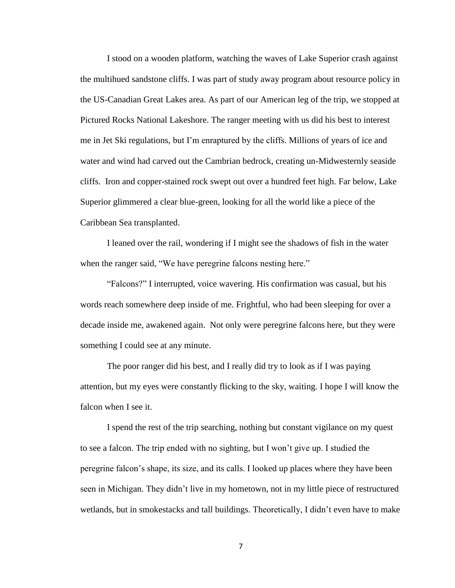I stood on a wooden platform, watching the waves of Lake Superior crash against the multihued sandstone cliffs. I was part of study away program about resource policy in the US-Canadian Great Lakes area. As part of our American leg of the trip, we stopped at Pictured Rocks National Lakeshore. The ranger meeting with us did his best to interest me in Jet Ski regulations, but I'm enraptured by the cliffs. Millions of years of ice and water and wind had carved out the Cambrian bedrock, creating un-Midwesternly seaside cliffs. Iron and copper-stained rock swept out over a hundred feet high. Far below, Lake Superior glimmered a clear blue-green, looking for all the world like a piece of the Caribbean Sea transplanted.

I leaned over the rail, wondering if I might see the shadows of fish in the water when the ranger said, "We have peregrine falcons nesting here."

"Falcons?" I interrupted, voice wavering. His confirmation was casual, but his words reach somewhere deep inside of me. Frightful, who had been sleeping for over a decade inside me, awakened again. Not only were peregrine falcons here, but they were something I could see at any minute.

The poor ranger did his best, and I really did try to look as if I was paying attention, but my eyes were constantly flicking to the sky, waiting. I hope I will know the falcon when I see it.

I spend the rest of the trip searching, nothing but constant vigilance on my quest to see a falcon. The trip ended with no sighting, but I won't give up. I studied the peregrine falcon's shape, its size, and its calls. I looked up places where they have been seen in Michigan. They didn't live in my hometown, not in my little piece of restructured wetlands, but in smokestacks and tall buildings. Theoretically, I didn't even have to make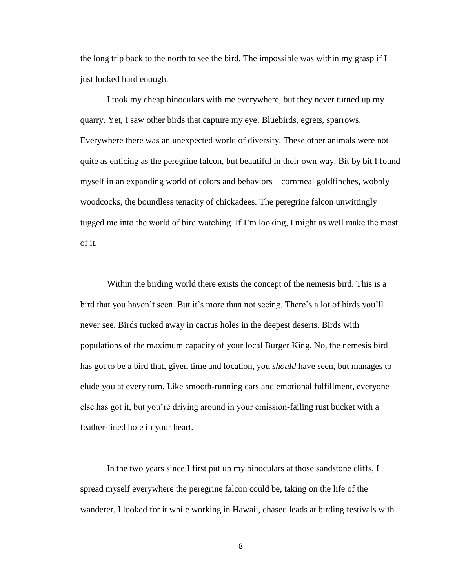the long trip back to the north to see the bird. The impossible was within my grasp if I just looked hard enough.

I took my cheap binoculars with me everywhere, but they never turned up my quarry. Yet, I saw other birds that capture my eye. Bluebirds, egrets, sparrows. Everywhere there was an unexpected world of diversity. These other animals were not quite as enticing as the peregrine falcon, but beautiful in their own way. Bit by bit I found myself in an expanding world of colors and behaviors—cornmeal goldfinches, wobbly woodcocks, the boundless tenacity of chickadees. The peregrine falcon unwittingly tugged me into the world of bird watching. If I'm looking, I might as well make the most of it.

Within the birding world there exists the concept of the nemesis bird. This is a bird that you haven't seen. But it's more than not seeing. There's a lot of birds you'll never see. Birds tucked away in cactus holes in the deepest deserts. Birds with populations of the maximum capacity of your local Burger King. No, the nemesis bird has got to be a bird that, given time and location, you *should* have seen, but manages to elude you at every turn. Like smooth-running cars and emotional fulfillment, everyone else has got it, but you're driving around in your emission-failing rust bucket with a feather-lined hole in your heart.

In the two years since I first put up my binoculars at those sandstone cliffs, I spread myself everywhere the peregrine falcon could be, taking on the life of the wanderer. I looked for it while working in Hawaii, chased leads at birding festivals with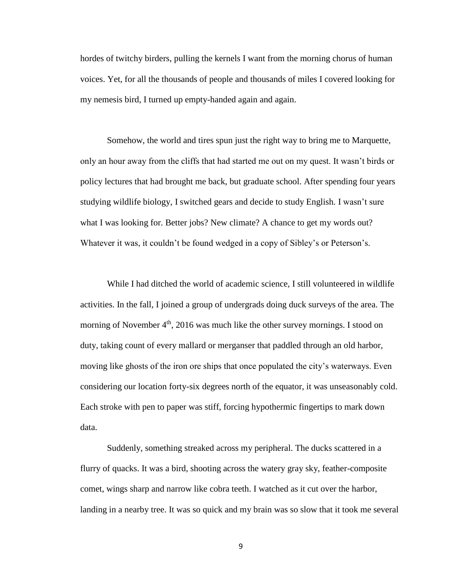hordes of twitchy birders, pulling the kernels I want from the morning chorus of human voices. Yet, for all the thousands of people and thousands of miles I covered looking for my nemesis bird, I turned up empty-handed again and again.

Somehow, the world and tires spun just the right way to bring me to Marquette, only an hour away from the cliffs that had started me out on my quest. It wasn't birds or policy lectures that had brought me back, but graduate school. After spending four years studying wildlife biology, I switched gears and decide to study English. I wasn't sure what I was looking for. Better jobs? New climate? A chance to get my words out? Whatever it was, it couldn't be found wedged in a copy of Sibley's or Peterson's.

While I had ditched the world of academic science, I still volunteered in wildlife activities. In the fall, I joined a group of undergrads doing duck surveys of the area. The morning of November  $4<sup>th</sup>$ , 2016 was much like the other survey mornings. I stood on duty, taking count of every mallard or merganser that paddled through an old harbor, moving like ghosts of the iron ore ships that once populated the city's waterways. Even considering our location forty-six degrees north of the equator, it was unseasonably cold. Each stroke with pen to paper was stiff, forcing hypothermic fingertips to mark down data.

Suddenly, something streaked across my peripheral. The ducks scattered in a flurry of quacks. It was a bird, shooting across the watery gray sky, feather-composite comet, wings sharp and narrow like cobra teeth. I watched as it cut over the harbor, landing in a nearby tree. It was so quick and my brain was so slow that it took me several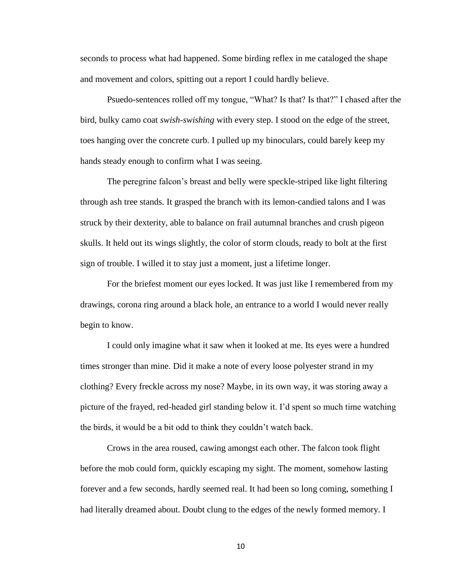seconds to process what had happened. Some birding reflex in me cataloged the shape and movement and colors, spitting out a report I could hardly believe.

Psuedo-sentences rolled off my tongue, "What? Is that? Is that?" I chased after the bird, bulky camo coat *swish-swishing* with every step. I stood on the edge of the street, toes hanging over the concrete curb. I pulled up my binoculars, could barely keep my hands steady enough to confirm what I was seeing.

The peregrine falcon's breast and belly were speckle-striped like light filtering through ash tree stands. It grasped the branch with its lemon-candied talons and I was struck by their dexterity, able to balance on frail autumnal branches and crush pigeon skulls. It held out its wings slightly, the color of storm clouds, ready to bolt at the first sign of trouble. I willed it to stay just a moment, just a lifetime longer.

For the briefest moment our eyes locked. It was just like I remembered from my drawings, corona ring around a black hole, an entrance to a world I would never really begin to know.

I could only imagine what it saw when it looked at me. Its eyes were a hundred times stronger than mine. Did it make a note of every loose polyester strand in my clothing? Every freckle across my nose? Maybe, in its own way, it was storing away a picture of the frayed, red-headed girl standing below it. I'd spent so much time watching the birds, it would be a bit odd to think they couldn't watch back.

Crows in the area roused, cawing amongst each other. The falcon took flight before the mob could form, quickly escaping my sight. The moment, somehow lasting forever and a few seconds, hardly seemed real. It had been so long coming, something I had literally dreamed about. Doubt clung to the edges of the newly formed memory. I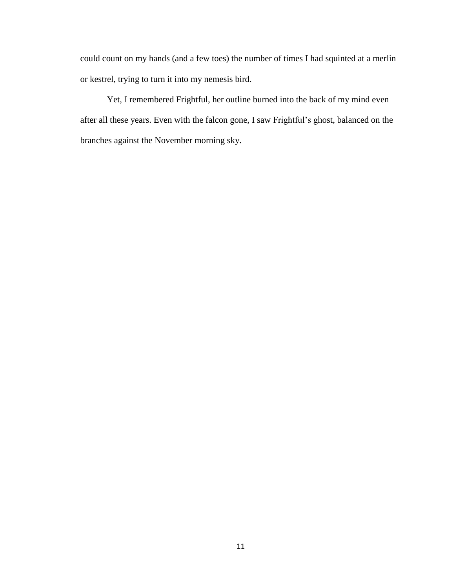could count on my hands (and a few toes) the number of times I had squinted at a merlin or kestrel, trying to turn it into my nemesis bird.

Yet, I remembered Frightful, her outline burned into the back of my mind even after all these years. Even with the falcon gone, I saw Frightful's ghost, balanced on the branches against the November morning sky.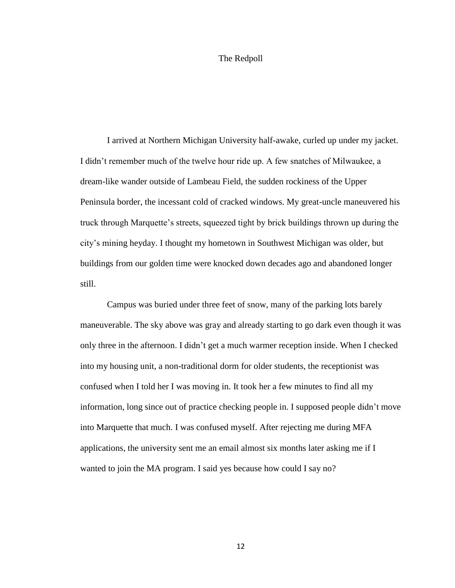#### The Redpoll

I arrived at Northern Michigan University half-awake, curled up under my jacket. I didn't remember much of the twelve hour ride up. A few snatches of Milwaukee, a dream-like wander outside of Lambeau Field, the sudden rockiness of the Upper Peninsula border, the incessant cold of cracked windows. My great-uncle maneuvered his truck through Marquette's streets, squeezed tight by brick buildings thrown up during the city's mining heyday. I thought my hometown in Southwest Michigan was older, but buildings from our golden time were knocked down decades ago and abandoned longer still.

Campus was buried under three feet of snow, many of the parking lots barely maneuverable. The sky above was gray and already starting to go dark even though it was only three in the afternoon. I didn't get a much warmer reception inside. When I checked into my housing unit, a non-traditional dorm for older students, the receptionist was confused when I told her I was moving in. It took her a few minutes to find all my information, long since out of practice checking people in. I supposed people didn't move into Marquette that much. I was confused myself. After rejecting me during MFA applications, the university sent me an email almost six months later asking me if I wanted to join the MA program. I said yes because how could I say no?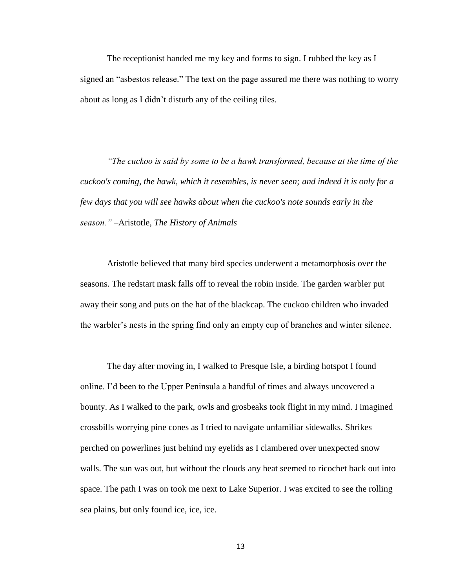The receptionist handed me my key and forms to sign. I rubbed the key as I signed an "asbestos release." The text on the page assured me there was nothing to worry about as long as I didn't disturb any of the ceiling tiles.

*"The cuckoo is said by some to be a hawk transformed, because at the time of the cuckoo's coming, the hawk, which it resembles, is never seen; and indeed it is only for a few days that you will see hawks about when the cuckoo's note sounds early in the season."* –Aristotle, *The History of Animals*

Aristotle believed that many bird species underwent a metamorphosis over the seasons. The redstart mask falls off to reveal the robin inside. The garden warbler put away their song and puts on the hat of the blackcap. The cuckoo children who invaded the warbler's nests in the spring find only an empty cup of branches and winter silence.

The day after moving in, I walked to Presque Isle, a birding hotspot I found online. I'd been to the Upper Peninsula a handful of times and always uncovered a bounty. As I walked to the park, owls and grosbeaks took flight in my mind. I imagined crossbills worrying pine cones as I tried to navigate unfamiliar sidewalks. Shrikes perched on powerlines just behind my eyelids as I clambered over unexpected snow walls. The sun was out, but without the clouds any heat seemed to ricochet back out into space. The path I was on took me next to Lake Superior. I was excited to see the rolling sea plains, but only found ice, ice, ice.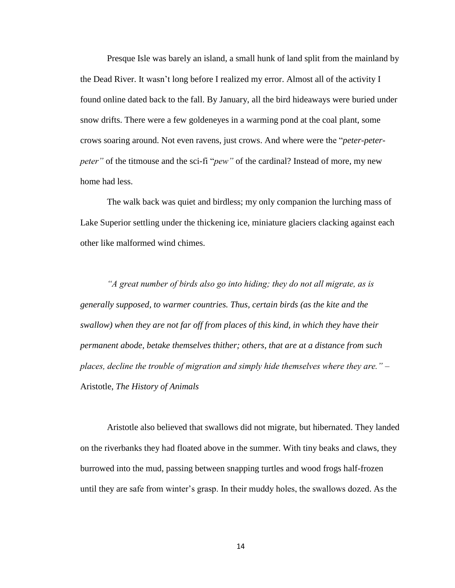Presque Isle was barely an island, a small hunk of land split from the mainland by the Dead River. It wasn't long before I realized my error. Almost all of the activity I found online dated back to the fall. By January, all the bird hideaways were buried under snow drifts. There were a few goldeneyes in a warming pond at the coal plant, some crows soaring around. Not even ravens, just crows. And where were the "*peter-peterpeter*" of the titmouse and the sci-fi "*pew*" of the cardinal? Instead of more, my new home had less.

The walk back was quiet and birdless; my only companion the lurching mass of Lake Superior settling under the thickening ice, miniature glaciers clacking against each other like malformed wind chimes.

*"A great number of birds also go into hiding; they do not all migrate, as is generally supposed, to warmer countries. Thus, certain birds (as the kite and the swallow) when they are not far off from places of this kind, in which they have their permanent abode, betake themselves thither; others, that are at a distance from such places, decline the trouble of migration and simply hide themselves where they are."* – Aristotle, *The History of Animals*

Aristotle also believed that swallows did not migrate, but hibernated. They landed on the riverbanks they had floated above in the summer. With tiny beaks and claws, they burrowed into the mud, passing between snapping turtles and wood frogs half-frozen until they are safe from winter's grasp. In their muddy holes, the swallows dozed. As the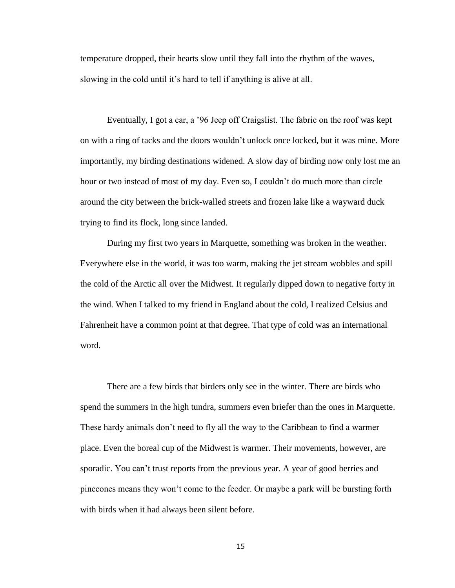temperature dropped, their hearts slow until they fall into the rhythm of the waves, slowing in the cold until it's hard to tell if anything is alive at all.

Eventually, I got a car, a '96 Jeep off Craigslist. The fabric on the roof was kept on with a ring of tacks and the doors wouldn't unlock once locked, but it was mine. More importantly, my birding destinations widened. A slow day of birding now only lost me an hour or two instead of most of my day. Even so, I couldn't do much more than circle around the city between the brick-walled streets and frozen lake like a wayward duck trying to find its flock, long since landed.

During my first two years in Marquette, something was broken in the weather. Everywhere else in the world, it was too warm, making the jet stream wobbles and spill the cold of the Arctic all over the Midwest. It regularly dipped down to negative forty in the wind. When I talked to my friend in England about the cold, I realized Celsius and Fahrenheit have a common point at that degree. That type of cold was an international word.

There are a few birds that birders only see in the winter. There are birds who spend the summers in the high tundra, summers even briefer than the ones in Marquette. These hardy animals don't need to fly all the way to the Caribbean to find a warmer place. Even the boreal cup of the Midwest is warmer. Their movements, however, are sporadic. You can't trust reports from the previous year. A year of good berries and pinecones means they won't come to the feeder. Or maybe a park will be bursting forth with birds when it had always been silent before.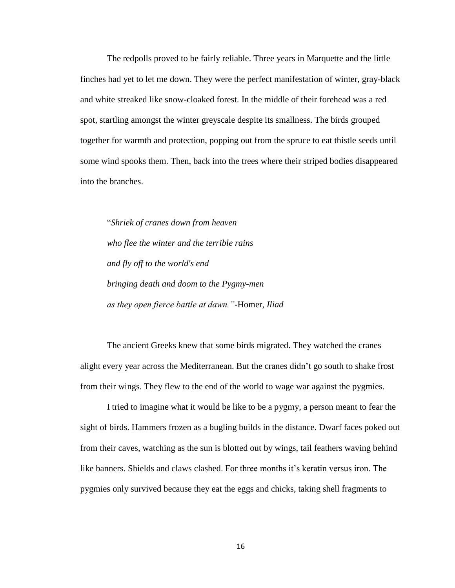The redpolls proved to be fairly reliable. Three years in Marquette and the little finches had yet to let me down. They were the perfect manifestation of winter, gray-black and white streaked like snow-cloaked forest. In the middle of their forehead was a red spot, startling amongst the winter greyscale despite its smallness. The birds grouped together for warmth and protection, popping out from the spruce to eat thistle seeds until some wind spooks them. Then, back into the trees where their striped bodies disappeared into the branches.

"*Shriek of cranes down from heaven who flee the winter and the terrible rains and fly off to the world's end bringing death and doom to the Pygmy-men as they open fierce battle at dawn."*-Homer, *Iliad* 

The ancient Greeks knew that some birds migrated. They watched the cranes alight every year across the Mediterranean. But the cranes didn't go south to shake frost from their wings. They flew to the end of the world to wage war against the pygmies.

I tried to imagine what it would be like to be a pygmy, a person meant to fear the sight of birds. Hammers frozen as a bugling builds in the distance. Dwarf faces poked out from their caves, watching as the sun is blotted out by wings, tail feathers waving behind like banners. Shields and claws clashed. For three months it's keratin versus iron. The pygmies only survived because they eat the eggs and chicks, taking shell fragments to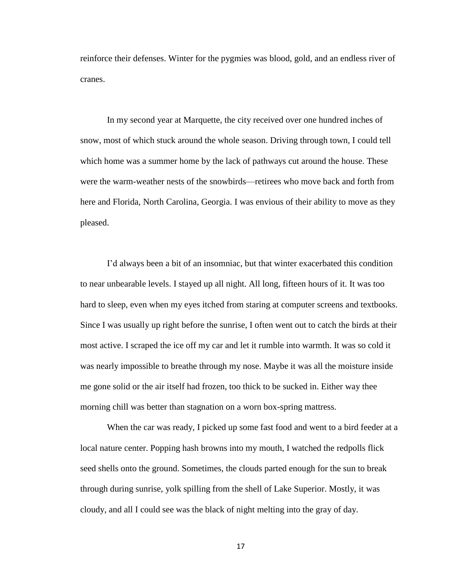reinforce their defenses. Winter for the pygmies was blood, gold, and an endless river of cranes.

In my second year at Marquette, the city received over one hundred inches of snow, most of which stuck around the whole season. Driving through town, I could tell which home was a summer home by the lack of pathways cut around the house. These were the warm-weather nests of the snowbirds—retirees who move back and forth from here and Florida, North Carolina, Georgia. I was envious of their ability to move as they pleased.

I'd always been a bit of an insomniac, but that winter exacerbated this condition to near unbearable levels. I stayed up all night. All long, fifteen hours of it. It was too hard to sleep, even when my eyes itched from staring at computer screens and textbooks. Since I was usually up right before the sunrise, I often went out to catch the birds at their most active. I scraped the ice off my car and let it rumble into warmth. It was so cold it was nearly impossible to breathe through my nose. Maybe it was all the moisture inside me gone solid or the air itself had frozen, too thick to be sucked in. Either way thee morning chill was better than stagnation on a worn box-spring mattress.

When the car was ready, I picked up some fast food and went to a bird feeder at a local nature center. Popping hash browns into my mouth, I watched the redpolls flick seed shells onto the ground. Sometimes, the clouds parted enough for the sun to break through during sunrise, yolk spilling from the shell of Lake Superior. Mostly, it was cloudy, and all I could see was the black of night melting into the gray of day.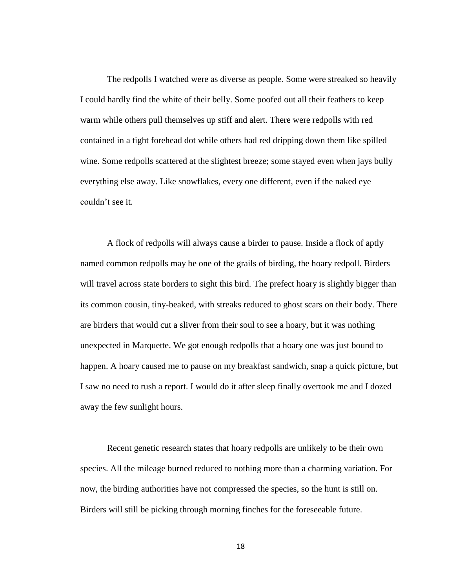The redpolls I watched were as diverse as people. Some were streaked so heavily I could hardly find the white of their belly. Some poofed out all their feathers to keep warm while others pull themselves up stiff and alert. There were redpolls with red contained in a tight forehead dot while others had red dripping down them like spilled wine. Some redpolls scattered at the slightest breeze; some stayed even when jays bully everything else away. Like snowflakes, every one different, even if the naked eye couldn't see it.

A flock of redpolls will always cause a birder to pause. Inside a flock of aptly named common redpolls may be one of the grails of birding, the hoary redpoll. Birders will travel across state borders to sight this bird. The prefect hoary is slightly bigger than its common cousin, tiny-beaked, with streaks reduced to ghost scars on their body. There are birders that would cut a sliver from their soul to see a hoary, but it was nothing unexpected in Marquette. We got enough redpolls that a hoary one was just bound to happen. A hoary caused me to pause on my breakfast sandwich, snap a quick picture, but I saw no need to rush a report. I would do it after sleep finally overtook me and I dozed away the few sunlight hours.

Recent genetic research states that hoary redpolls are unlikely to be their own species. All the mileage burned reduced to nothing more than a charming variation. For now, the birding authorities have not compressed the species, so the hunt is still on. Birders will still be picking through morning finches for the foreseeable future.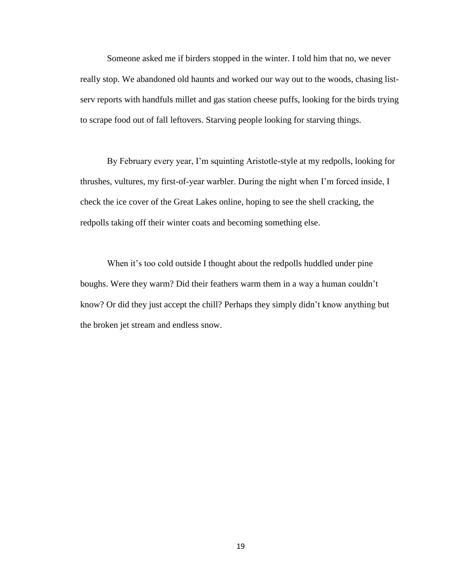Someone asked me if birders stopped in the winter. I told him that no, we never really stop. We abandoned old haunts and worked our way out to the woods, chasing listserv reports with handfuls millet and gas station cheese puffs, looking for the birds trying to scrape food out of fall leftovers. Starving people looking for starving things.

By February every year, I'm squinting Aristotle-style at my redpolls, looking for thrushes, vultures, my first-of-year warbler. During the night when I'm forced inside, I check the ice cover of the Great Lakes online, hoping to see the shell cracking, the redpolls taking off their winter coats and becoming something else.

When it's too cold outside I thought about the redpolls huddled under pine boughs. Were they warm? Did their feathers warm them in a way a human couldn't know? Or did they just accept the chill? Perhaps they simply didn't know anything but the broken jet stream and endless snow.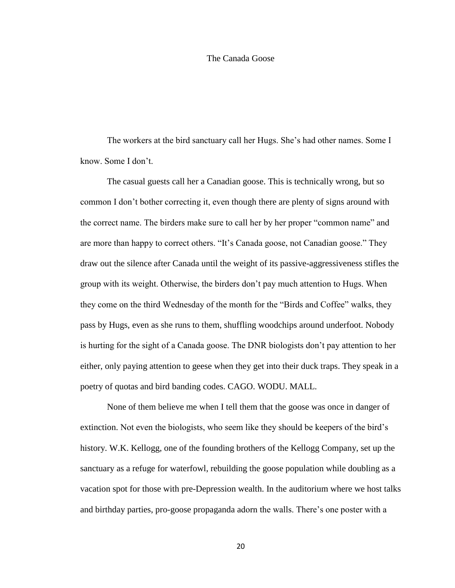#### The Canada Goose

The workers at the bird sanctuary call her Hugs. She's had other names. Some I know. Some I don't.

The casual guests call her a Canadian goose. This is technically wrong, but so common I don't bother correcting it, even though there are plenty of signs around with the correct name. The birders make sure to call her by her proper "common name" and are more than happy to correct others. "It's Canada goose, not Canadian goose." They draw out the silence after Canada until the weight of its passive-aggressiveness stifles the group with its weight. Otherwise, the birders don't pay much attention to Hugs. When they come on the third Wednesday of the month for the "Birds and Coffee" walks, they pass by Hugs, even as she runs to them, shuffling woodchips around underfoot. Nobody is hurting for the sight of a Canada goose. The DNR biologists don't pay attention to her either, only paying attention to geese when they get into their duck traps. They speak in a poetry of quotas and bird banding codes. CAGO. WODU. MALL.

None of them believe me when I tell them that the goose was once in danger of extinction. Not even the biologists, who seem like they should be keepers of the bird's history. W.K. Kellogg, one of the founding brothers of the Kellogg Company, set up the sanctuary as a refuge for waterfowl, rebuilding the goose population while doubling as a vacation spot for those with pre-Depression wealth. In the auditorium where we host talks and birthday parties, pro-goose propaganda adorn the walls. There's one poster with a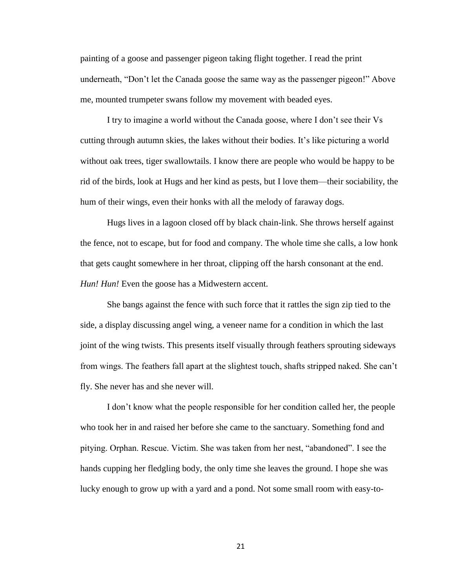painting of a goose and passenger pigeon taking flight together. I read the print underneath, "Don't let the Canada goose the same way as the passenger pigeon!" Above me, mounted trumpeter swans follow my movement with beaded eyes.

I try to imagine a world without the Canada goose, where I don't see their Vs cutting through autumn skies, the lakes without their bodies. It's like picturing a world without oak trees, tiger swallowtails. I know there are people who would be happy to be rid of the birds, look at Hugs and her kind as pests, but I love them—their sociability, the hum of their wings, even their honks with all the melody of faraway dogs.

Hugs lives in a lagoon closed off by black chain-link. She throws herself against the fence, not to escape, but for food and company. The whole time she calls, a low honk that gets caught somewhere in her throat, clipping off the harsh consonant at the end. *Hun! Hun!* Even the goose has a Midwestern accent.

She bangs against the fence with such force that it rattles the sign zip tied to the side, a display discussing angel wing, a veneer name for a condition in which the last joint of the wing twists. This presents itself visually through feathers sprouting sideways from wings. The feathers fall apart at the slightest touch, shafts stripped naked. She can't fly. She never has and she never will.

I don't know what the people responsible for her condition called her, the people who took her in and raised her before she came to the sanctuary. Something fond and pitying. Orphan. Rescue. Victim. She was taken from her nest, "abandoned". I see the hands cupping her fledgling body, the only time she leaves the ground. I hope she was lucky enough to grow up with a yard and a pond. Not some small room with easy-to-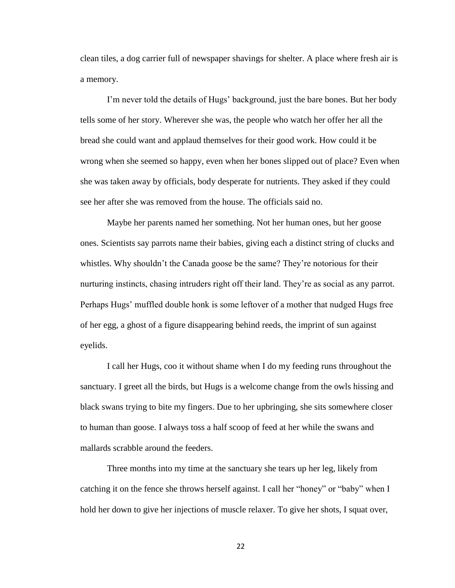clean tiles, a dog carrier full of newspaper shavings for shelter. A place where fresh air is a memory.

I'm never told the details of Hugs' background, just the bare bones. But her body tells some of her story. Wherever she was, the people who watch her offer her all the bread she could want and applaud themselves for their good work. How could it be wrong when she seemed so happy, even when her bones slipped out of place? Even when she was taken away by officials, body desperate for nutrients. They asked if they could see her after she was removed from the house. The officials said no.

Maybe her parents named her something. Not her human ones, but her goose ones. Scientists say parrots name their babies, giving each a distinct string of clucks and whistles. Why shouldn't the Canada goose be the same? They're notorious for their nurturing instincts, chasing intruders right off their land. They're as social as any parrot. Perhaps Hugs' muffled double honk is some leftover of a mother that nudged Hugs free of her egg, a ghost of a figure disappearing behind reeds, the imprint of sun against eyelids.

I call her Hugs, coo it without shame when I do my feeding runs throughout the sanctuary. I greet all the birds, but Hugs is a welcome change from the owls hissing and black swans trying to bite my fingers. Due to her upbringing, she sits somewhere closer to human than goose. I always toss a half scoop of feed at her while the swans and mallards scrabble around the feeders.

Three months into my time at the sanctuary she tears up her leg, likely from catching it on the fence she throws herself against. I call her "honey" or "baby" when I hold her down to give her injections of muscle relaxer. To give her shots, I squat over,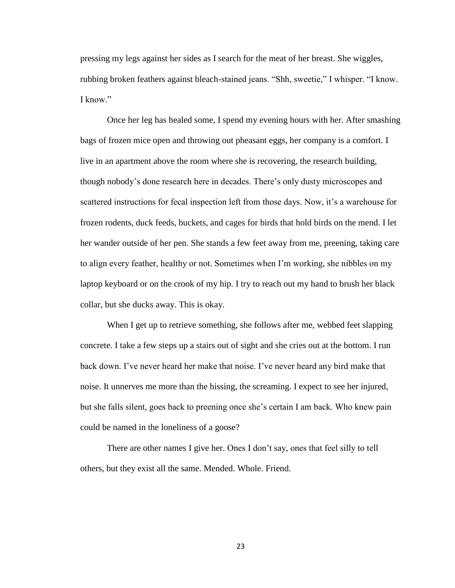pressing my legs against her sides as I search for the meat of her breast. She wiggles, rubbing broken feathers against bleach-stained jeans. "Shh, sweetie," I whisper. "I know. I know"

Once her leg has healed some, I spend my evening hours with her. After smashing bags of frozen mice open and throwing out pheasant eggs, her company is a comfort. I live in an apartment above the room where she is recovering, the research building, though nobody's done research here in decades. There's only dusty microscopes and scattered instructions for fecal inspection left from those days. Now, it's a warehouse for frozen rodents, duck feeds, buckets, and cages for birds that hold birds on the mend. I let her wander outside of her pen. She stands a few feet away from me, preening, taking care to align every feather, healthy or not. Sometimes when I'm working, she nibbles on my laptop keyboard or on the crook of my hip. I try to reach out my hand to brush her black collar, but she ducks away. This is okay.

When I get up to retrieve something, she follows after me, webbed feet slapping concrete. I take a few steps up a stairs out of sight and she cries out at the bottom. I run back down. I've never heard her make that noise. I've never heard any bird make that noise. It unnerves me more than the hissing, the screaming. I expect to see her injured, but she falls silent, goes back to preening once she's certain I am back. Who knew pain could be named in the loneliness of a goose?

There are other names I give her. Ones I don't say, ones that feel silly to tell others, but they exist all the same. Mended. Whole. Friend.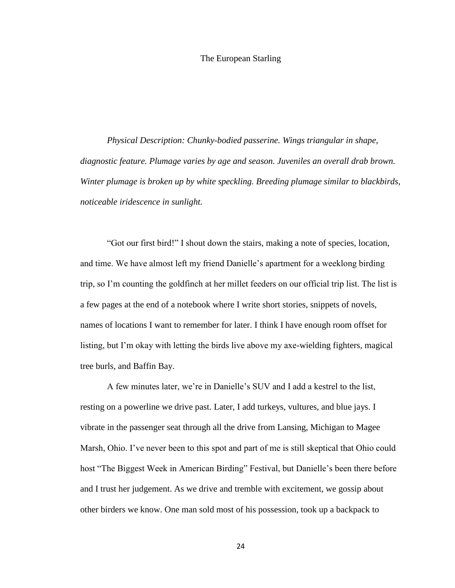#### The European Starling

*Physical Description: Chunky-bodied passerine. Wings triangular in shape, diagnostic feature. Plumage varies by age and season. Juveniles an overall drab brown. Winter plumage is broken up by white speckling. Breeding plumage similar to blackbirds, noticeable iridescence in sunlight.*

"Got our first bird!" I shout down the stairs, making a note of species, location, and time. We have almost left my friend Danielle's apartment for a weeklong birding trip, so I'm counting the goldfinch at her millet feeders on our official trip list. The list is a few pages at the end of a notebook where I write short stories, snippets of novels, names of locations I want to remember for later. I think I have enough room offset for listing, but I'm okay with letting the birds live above my axe-wielding fighters, magical tree burls, and Baffin Bay.

A few minutes later, we're in Danielle's SUV and I add a kestrel to the list, resting on a powerline we drive past. Later, I add turkeys, vultures, and blue jays. I vibrate in the passenger seat through all the drive from Lansing, Michigan to Magee Marsh, Ohio. I've never been to this spot and part of me is still skeptical that Ohio could host "The Biggest Week in American Birding" Festival, but Danielle's been there before and I trust her judgement. As we drive and tremble with excitement, we gossip about other birders we know. One man sold most of his possession, took up a backpack to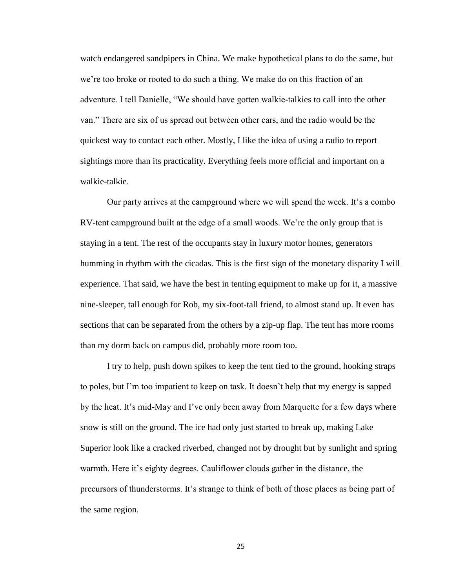watch endangered sandpipers in China. We make hypothetical plans to do the same, but we're too broke or rooted to do such a thing. We make do on this fraction of an adventure. I tell Danielle, "We should have gotten walkie-talkies to call into the other van." There are six of us spread out between other cars, and the radio would be the quickest way to contact each other. Mostly, I like the idea of using a radio to report sightings more than its practicality. Everything feels more official and important on a walkie-talkie.

Our party arrives at the campground where we will spend the week. It's a combo RV-tent campground built at the edge of a small woods. We're the only group that is staying in a tent. The rest of the occupants stay in luxury motor homes, generators humming in rhythm with the cicadas. This is the first sign of the monetary disparity I will experience. That said, we have the best in tenting equipment to make up for it, a massive nine-sleeper, tall enough for Rob, my six-foot-tall friend, to almost stand up. It even has sections that can be separated from the others by a zip-up flap. The tent has more rooms than my dorm back on campus did, probably more room too.

I try to help, push down spikes to keep the tent tied to the ground, hooking straps to poles, but I'm too impatient to keep on task. It doesn't help that my energy is sapped by the heat. It's mid-May and I've only been away from Marquette for a few days where snow is still on the ground. The ice had only just started to break up, making Lake Superior look like a cracked riverbed, changed not by drought but by sunlight and spring warmth. Here it's eighty degrees. Cauliflower clouds gather in the distance, the precursors of thunderstorms. It's strange to think of both of those places as being part of the same region.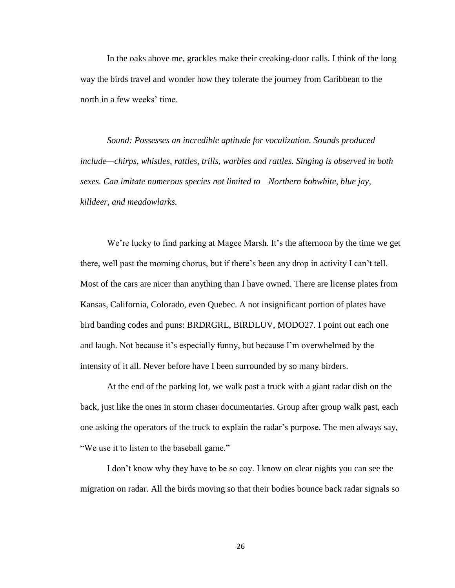In the oaks above me, grackles make their creaking-door calls. I think of the long way the birds travel and wonder how they tolerate the journey from Caribbean to the north in a few weeks' time.

*Sound: Possesses an incredible aptitude for vocalization. Sounds produced include—chirps, whistles, rattles, trills, warbles and rattles. Singing is observed in both sexes. Can imitate numerous species not limited to—Northern bobwhite, blue jay, killdeer, and meadowlarks.*

We're lucky to find parking at Magee Marsh. It's the afternoon by the time we get there, well past the morning chorus, but if there's been any drop in activity I can't tell. Most of the cars are nicer than anything than I have owned. There are license plates from Kansas, California, Colorado, even Quebec. A not insignificant portion of plates have bird banding codes and puns: BRDRGRL, BIRDLUV, MODO27. I point out each one and laugh. Not because it's especially funny, but because I'm overwhelmed by the intensity of it all. Never before have I been surrounded by so many birders.

At the end of the parking lot, we walk past a truck with a giant radar dish on the back, just like the ones in storm chaser documentaries. Group after group walk past, each one asking the operators of the truck to explain the radar's purpose. The men always say, "We use it to listen to the baseball game."

I don't know why they have to be so coy. I know on clear nights you can see the migration on radar. All the birds moving so that their bodies bounce back radar signals so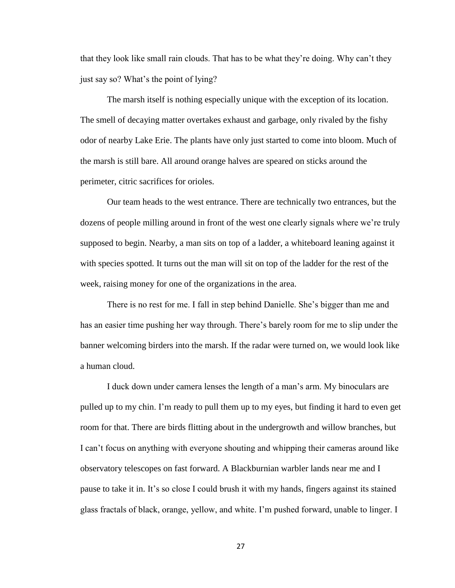that they look like small rain clouds. That has to be what they're doing. Why can't they just say so? What's the point of lying?

The marsh itself is nothing especially unique with the exception of its location. The smell of decaying matter overtakes exhaust and garbage, only rivaled by the fishy odor of nearby Lake Erie. The plants have only just started to come into bloom. Much of the marsh is still bare. All around orange halves are speared on sticks around the perimeter, citric sacrifices for orioles.

Our team heads to the west entrance. There are technically two entrances, but the dozens of people milling around in front of the west one clearly signals where we're truly supposed to begin. Nearby, a man sits on top of a ladder, a whiteboard leaning against it with species spotted. It turns out the man will sit on top of the ladder for the rest of the week, raising money for one of the organizations in the area.

There is no rest for me. I fall in step behind Danielle. She's bigger than me and has an easier time pushing her way through. There's barely room for me to slip under the banner welcoming birders into the marsh. If the radar were turned on, we would look like a human cloud.

I duck down under camera lenses the length of a man's arm. My binoculars are pulled up to my chin. I'm ready to pull them up to my eyes, but finding it hard to even get room for that. There are birds flitting about in the undergrowth and willow branches, but I can't focus on anything with everyone shouting and whipping their cameras around like observatory telescopes on fast forward. A Blackburnian warbler lands near me and I pause to take it in. It's so close I could brush it with my hands, fingers against its stained glass fractals of black, orange, yellow, and white. I'm pushed forward, unable to linger. I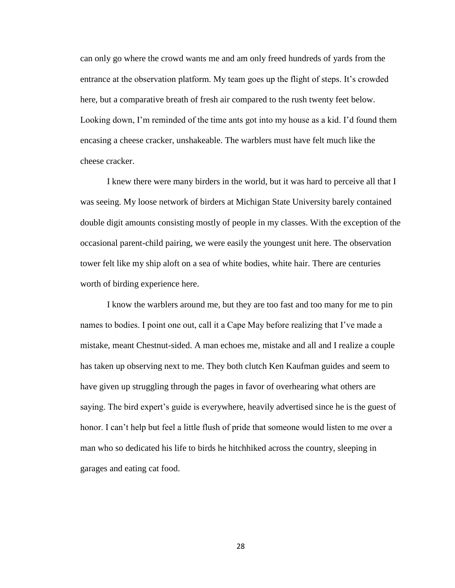can only go where the crowd wants me and am only freed hundreds of yards from the entrance at the observation platform. My team goes up the flight of steps. It's crowded here, but a comparative breath of fresh air compared to the rush twenty feet below. Looking down, I'm reminded of the time ants got into my house as a kid. I'd found them encasing a cheese cracker, unshakeable. The warblers must have felt much like the cheese cracker.

I knew there were many birders in the world, but it was hard to perceive all that I was seeing. My loose network of birders at Michigan State University barely contained double digit amounts consisting mostly of people in my classes. With the exception of the occasional parent-child pairing, we were easily the youngest unit here. The observation tower felt like my ship aloft on a sea of white bodies, white hair. There are centuries worth of birding experience here.

I know the warblers around me, but they are too fast and too many for me to pin names to bodies. I point one out, call it a Cape May before realizing that I've made a mistake, meant Chestnut-sided. A man echoes me, mistake and all and I realize a couple has taken up observing next to me. They both clutch Ken Kaufman guides and seem to have given up struggling through the pages in favor of overhearing what others are saying. The bird expert's guide is everywhere, heavily advertised since he is the guest of honor. I can't help but feel a little flush of pride that someone would listen to me over a man who so dedicated his life to birds he hitchhiked across the country, sleeping in garages and eating cat food.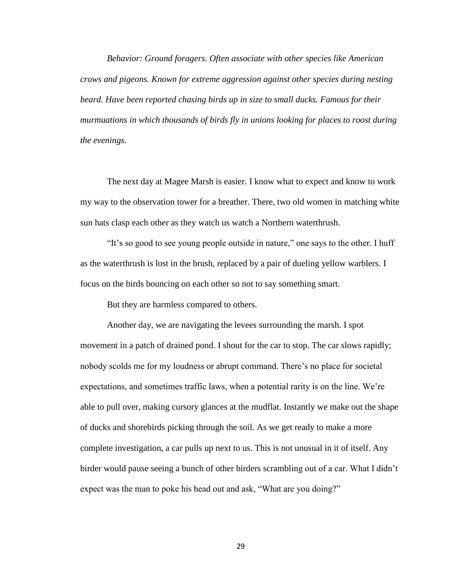*Behavior: Ground foragers. Often associate with other species like American crows and pigeons. Known for extreme aggression against other species during nesting beard. Have been reported chasing birds up in size to small ducks. Famous for their murmuations in which thousands of birds fly in unions looking for places to roost during the evenings.*

The next day at Magee Marsh is easier. I know what to expect and know to work my way to the observation tower for a breather. There, two old women in matching white sun hats clasp each other as they watch us watch a Northern waterthrush.

"It's so good to see young people outside in nature," one says to the other. I huff as the waterthrush is lost in the brush, replaced by a pair of dueling yellow warblers. I focus on the birds bouncing on each other so not to say something smart.

But they are harmless compared to others.

Another day, we are navigating the levees surrounding the marsh. I spot movement in a patch of drained pond. I shout for the car to stop. The car slows rapidly; nobody scolds me for my loudness or abrupt command. There's no place for societal expectations, and sometimes traffic laws, when a potential rarity is on the line. We're able to pull over, making cursory glances at the mudflat. Instantly we make out the shape of ducks and shorebirds picking through the soil. As we get ready to make a more complete investigation, a car pulls up next to us. This is not unusual in it of itself. Any birder would pause seeing a bunch of other birders scrambling out of a car. What I didn't expect was the man to poke his head out and ask, "What are you doing?"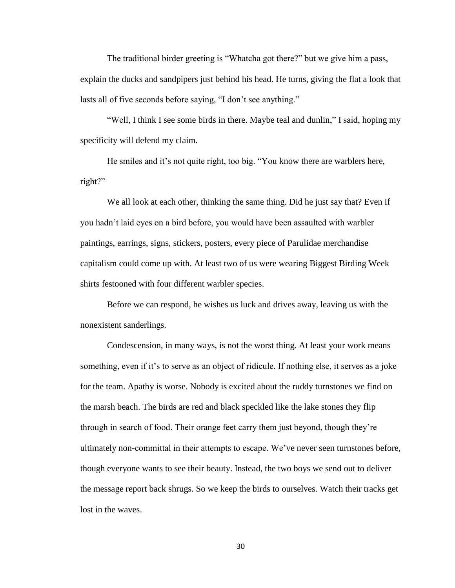The traditional birder greeting is "Whatcha got there?" but we give him a pass, explain the ducks and sandpipers just behind his head. He turns, giving the flat a look that lasts all of five seconds before saying, "I don't see anything."

"Well, I think I see some birds in there. Maybe teal and dunlin," I said, hoping my specificity will defend my claim.

He smiles and it's not quite right, too big. "You know there are warblers here, right?"

We all look at each other, thinking the same thing. Did he just say that? Even if you hadn't laid eyes on a bird before, you would have been assaulted with warbler paintings, earrings, signs, stickers, posters, every piece of Parulidae merchandise capitalism could come up with. At least two of us were wearing Biggest Birding Week shirts festooned with four different warbler species.

Before we can respond, he wishes us luck and drives away, leaving us with the nonexistent sanderlings.

Condescension, in many ways, is not the worst thing. At least your work means something, even if it's to serve as an object of ridicule. If nothing else, it serves as a joke for the team. Apathy is worse. Nobody is excited about the ruddy turnstones we find on the marsh beach. The birds are red and black speckled like the lake stones they flip through in search of food. Their orange feet carry them just beyond, though they're ultimately non-committal in their attempts to escape. We've never seen turnstones before, though everyone wants to see their beauty. Instead, the two boys we send out to deliver the message report back shrugs. So we keep the birds to ourselves. Watch their tracks get lost in the waves.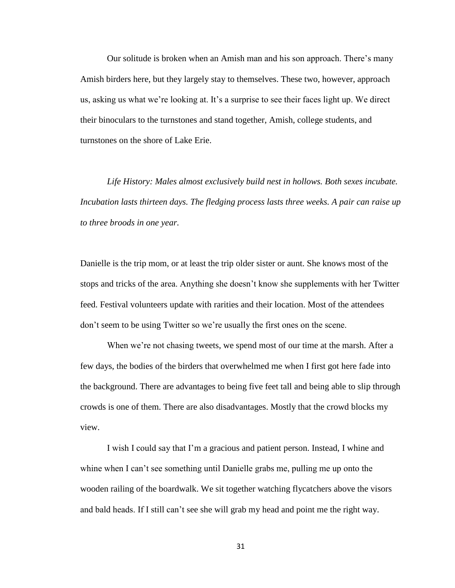Our solitude is broken when an Amish man and his son approach. There's many Amish birders here, but they largely stay to themselves. These two, however, approach us, asking us what we're looking at. It's a surprise to see their faces light up. We direct their binoculars to the turnstones and stand together, Amish, college students, and turnstones on the shore of Lake Erie.

*Life History: Males almost exclusively build nest in hollows. Both sexes incubate. Incubation lasts thirteen days. The fledging process lasts three weeks. A pair can raise up to three broods in one year.*

Danielle is the trip mom, or at least the trip older sister or aunt. She knows most of the stops and tricks of the area. Anything she doesn't know she supplements with her Twitter feed. Festival volunteers update with rarities and their location. Most of the attendees don't seem to be using Twitter so we're usually the first ones on the scene.

When we're not chasing tweets, we spend most of our time at the marsh. After a few days, the bodies of the birders that overwhelmed me when I first got here fade into the background. There are advantages to being five feet tall and being able to slip through crowds is one of them. There are also disadvantages. Mostly that the crowd blocks my view.

I wish I could say that I'm a gracious and patient person. Instead, I whine and whine when I can't see something until Danielle grabs me, pulling me up onto the wooden railing of the boardwalk. We sit together watching flycatchers above the visors and bald heads. If I still can't see she will grab my head and point me the right way.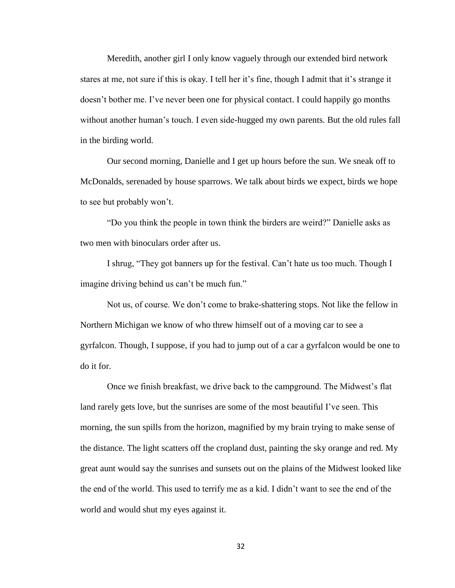Meredith, another girl I only know vaguely through our extended bird network stares at me, not sure if this is okay. I tell her it's fine, though I admit that it's strange it doesn't bother me. I've never been one for physical contact. I could happily go months without another human's touch. I even side-hugged my own parents. But the old rules fall in the birding world.

Our second morning, Danielle and I get up hours before the sun. We sneak off to McDonalds, serenaded by house sparrows. We talk about birds we expect, birds we hope to see but probably won't.

"Do you think the people in town think the birders are weird?" Danielle asks as two men with binoculars order after us.

I shrug, "They got banners up for the festival. Can't hate us too much. Though I imagine driving behind us can't be much fun."

Not us, of course. We don't come to brake-shattering stops. Not like the fellow in Northern Michigan we know of who threw himself out of a moving car to see a gyrfalcon. Though, I suppose, if you had to jump out of a car a gyrfalcon would be one to do it for.

Once we finish breakfast, we drive back to the campground. The Midwest's flat land rarely gets love, but the sunrises are some of the most beautiful I've seen. This morning, the sun spills from the horizon, magnified by my brain trying to make sense of the distance. The light scatters off the cropland dust, painting the sky orange and red. My great aunt would say the sunrises and sunsets out on the plains of the Midwest looked like the end of the world. This used to terrify me as a kid. I didn't want to see the end of the world and would shut my eyes against it.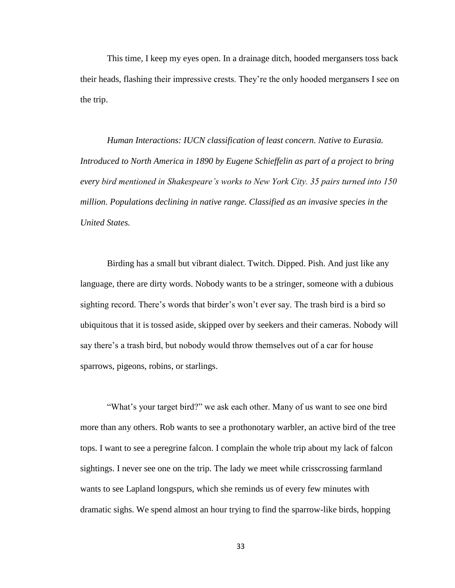This time, I keep my eyes open. In a drainage ditch, hooded mergansers toss back their heads, flashing their impressive crests. They're the only hooded mergansers I see on the trip.

*Human Interactions: IUCN classification of least concern. Native to Eurasia. Introduced to North America in 1890 by Eugene Schieffelin as part of a project to bring every bird mentioned in Shakespeare's works to New York City. 35 pairs turned into 150 million. Populations declining in native range. Classified as an invasive species in the United States.*

Birding has a small but vibrant dialect. Twitch. Dipped. Pish. And just like any language, there are dirty words. Nobody wants to be a stringer, someone with a dubious sighting record. There's words that birder's won't ever say. The trash bird is a bird so ubiquitous that it is tossed aside, skipped over by seekers and their cameras. Nobody will say there's a trash bird, but nobody would throw themselves out of a car for house sparrows, pigeons, robins, or starlings.

"What's your target bird?" we ask each other. Many of us want to see one bird more than any others. Rob wants to see a prothonotary warbler, an active bird of the tree tops. I want to see a peregrine falcon. I complain the whole trip about my lack of falcon sightings. I never see one on the trip. The lady we meet while crisscrossing farmland wants to see Lapland longspurs, which she reminds us of every few minutes with dramatic sighs. We spend almost an hour trying to find the sparrow-like birds, hopping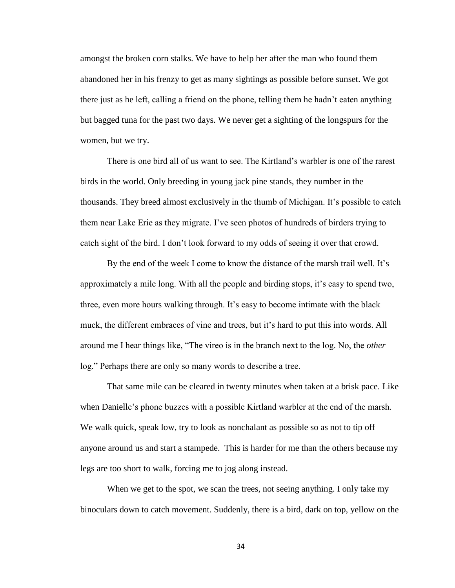amongst the broken corn stalks. We have to help her after the man who found them abandoned her in his frenzy to get as many sightings as possible before sunset. We got there just as he left, calling a friend on the phone, telling them he hadn't eaten anything but bagged tuna for the past two days. We never get a sighting of the longspurs for the women, but we try.

There is one bird all of us want to see. The Kirtland's warbler is one of the rarest birds in the world. Only breeding in young jack pine stands, they number in the thousands. They breed almost exclusively in the thumb of Michigan. It's possible to catch them near Lake Erie as they migrate. I've seen photos of hundreds of birders trying to catch sight of the bird. I don't look forward to my odds of seeing it over that crowd.

By the end of the week I come to know the distance of the marsh trail well. It's approximately a mile long. With all the people and birding stops, it's easy to spend two, three, even more hours walking through. It's easy to become intimate with the black muck, the different embraces of vine and trees, but it's hard to put this into words. All around me I hear things like, "The vireo is in the branch next to the log. No, the *other*  log." Perhaps there are only so many words to describe a tree.

That same mile can be cleared in twenty minutes when taken at a brisk pace. Like when Danielle's phone buzzes with a possible Kirtland warbler at the end of the marsh. We walk quick, speak low, try to look as nonchalant as possible so as not to tip off anyone around us and start a stampede. This is harder for me than the others because my legs are too short to walk, forcing me to jog along instead.

When we get to the spot, we scan the trees, not seeing anything. I only take my binoculars down to catch movement. Suddenly, there is a bird, dark on top, yellow on the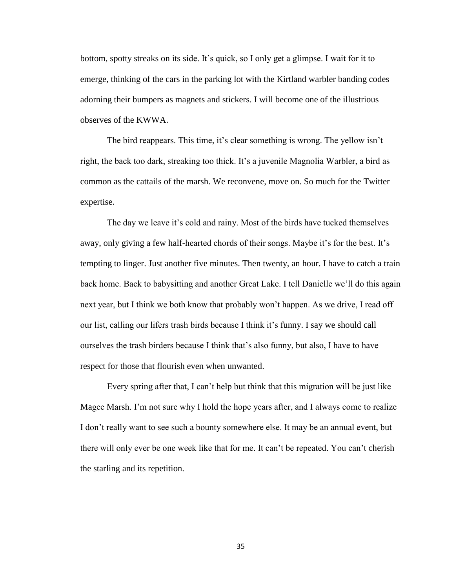bottom, spotty streaks on its side. It's quick, so I only get a glimpse. I wait for it to emerge, thinking of the cars in the parking lot with the Kirtland warbler banding codes adorning their bumpers as magnets and stickers. I will become one of the illustrious observes of the KWWA.

The bird reappears. This time, it's clear something is wrong. The yellow isn't right, the back too dark, streaking too thick. It's a juvenile Magnolia Warbler, a bird as common as the cattails of the marsh. We reconvene, move on. So much for the Twitter expertise.

The day we leave it's cold and rainy. Most of the birds have tucked themselves away, only giving a few half-hearted chords of their songs. Maybe it's for the best. It's tempting to linger. Just another five minutes. Then twenty, an hour. I have to catch a train back home. Back to babysitting and another Great Lake. I tell Danielle we'll do this again next year, but I think we both know that probably won't happen. As we drive, I read off our list, calling our lifers trash birds because I think it's funny. I say we should call ourselves the trash birders because I think that's also funny, but also, I have to have respect for those that flourish even when unwanted.

Every spring after that, I can't help but think that this migration will be just like Magee Marsh. I'm not sure why I hold the hope years after, and I always come to realize I don't really want to see such a bounty somewhere else. It may be an annual event, but there will only ever be one week like that for me. It can't be repeated. You can't cherish the starling and its repetition.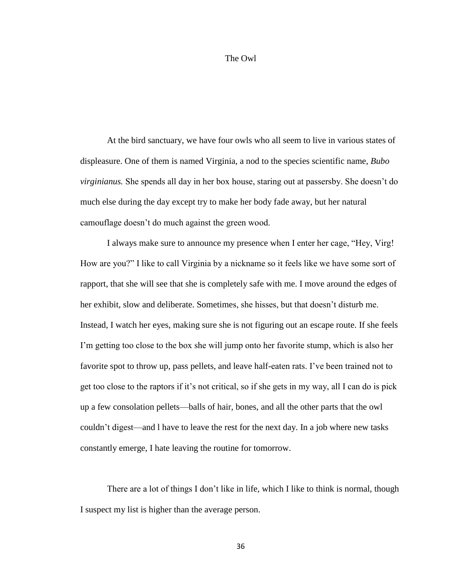#### The Owl

At the bird sanctuary, we have four owls who all seem to live in various states of displeasure. One of them is named Virginia, a nod to the species scientific name, *Bubo virginianus.* She spends all day in her box house, staring out at passersby. She doesn't do much else during the day except try to make her body fade away, but her natural camouflage doesn't do much against the green wood.

I always make sure to announce my presence when I enter her cage, "Hey, Virg! How are you?" I like to call Virginia by a nickname so it feels like we have some sort of rapport, that she will see that she is completely safe with me. I move around the edges of her exhibit, slow and deliberate. Sometimes, she hisses, but that doesn't disturb me. Instead, I watch her eyes, making sure she is not figuring out an escape route. If she feels I'm getting too close to the box she will jump onto her favorite stump, which is also her favorite spot to throw up, pass pellets, and leave half-eaten rats. I've been trained not to get too close to the raptors if it's not critical, so if she gets in my way, all I can do is pick up a few consolation pellets—balls of hair, bones, and all the other parts that the owl couldn't digest—and l have to leave the rest for the next day. In a job where new tasks constantly emerge, I hate leaving the routine for tomorrow.

There are a lot of things I don't like in life, which I like to think is normal, though I suspect my list is higher than the average person.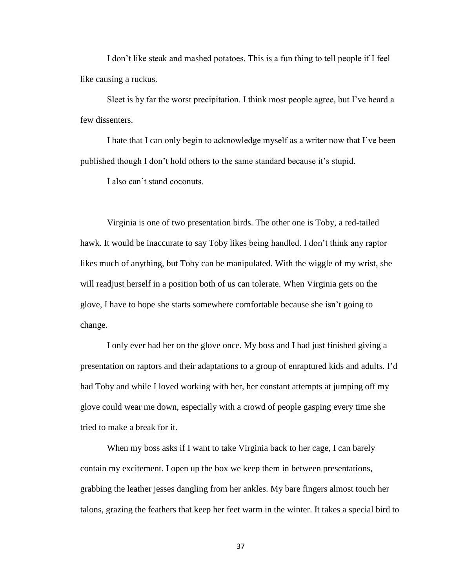I don't like steak and mashed potatoes. This is a fun thing to tell people if I feel like causing a ruckus.

Sleet is by far the worst precipitation. I think most people agree, but I've heard a few dissenters.

I hate that I can only begin to acknowledge myself as a writer now that I've been published though I don't hold others to the same standard because it's stupid.

I also can't stand coconuts.

Virginia is one of two presentation birds. The other one is Toby, a red-tailed hawk. It would be inaccurate to say Toby likes being handled. I don't think any raptor likes much of anything, but Toby can be manipulated. With the wiggle of my wrist, she will readjust herself in a position both of us can tolerate. When Virginia gets on the glove, I have to hope she starts somewhere comfortable because she isn't going to change.

I only ever had her on the glove once. My boss and I had just finished giving a presentation on raptors and their adaptations to a group of enraptured kids and adults. I'd had Toby and while I loved working with her, her constant attempts at jumping off my glove could wear me down, especially with a crowd of people gasping every time she tried to make a break for it.

When my boss asks if I want to take Virginia back to her cage, I can barely contain my excitement. I open up the box we keep them in between presentations, grabbing the leather jesses dangling from her ankles. My bare fingers almost touch her talons, grazing the feathers that keep her feet warm in the winter. It takes a special bird to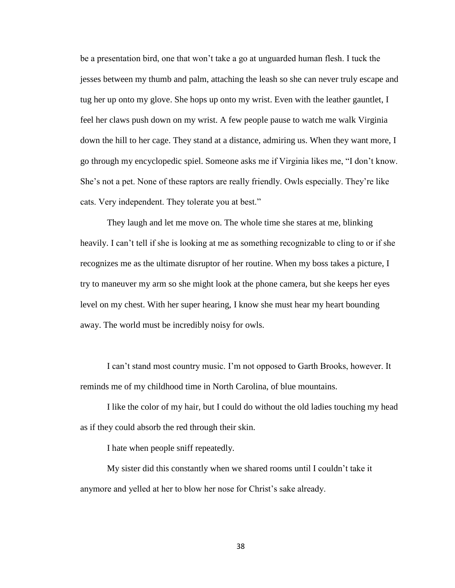be a presentation bird, one that won't take a go at unguarded human flesh. I tuck the jesses between my thumb and palm, attaching the leash so she can never truly escape and tug her up onto my glove. She hops up onto my wrist. Even with the leather gauntlet, I feel her claws push down on my wrist. A few people pause to watch me walk Virginia down the hill to her cage. They stand at a distance, admiring us. When they want more, I go through my encyclopedic spiel. Someone asks me if Virginia likes me, "I don't know. She's not a pet. None of these raptors are really friendly. Owls especially. They're like cats. Very independent. They tolerate you at best."

They laugh and let me move on. The whole time she stares at me, blinking heavily. I can't tell if she is looking at me as something recognizable to cling to or if she recognizes me as the ultimate disruptor of her routine. When my boss takes a picture, I try to maneuver my arm so she might look at the phone camera, but she keeps her eyes level on my chest. With her super hearing, I know she must hear my heart bounding away. The world must be incredibly noisy for owls.

I can't stand most country music. I'm not opposed to Garth Brooks, however. It reminds me of my childhood time in North Carolina, of blue mountains.

I like the color of my hair, but I could do without the old ladies touching my head as if they could absorb the red through their skin.

I hate when people sniff repeatedly.

My sister did this constantly when we shared rooms until I couldn't take it anymore and yelled at her to blow her nose for Christ's sake already.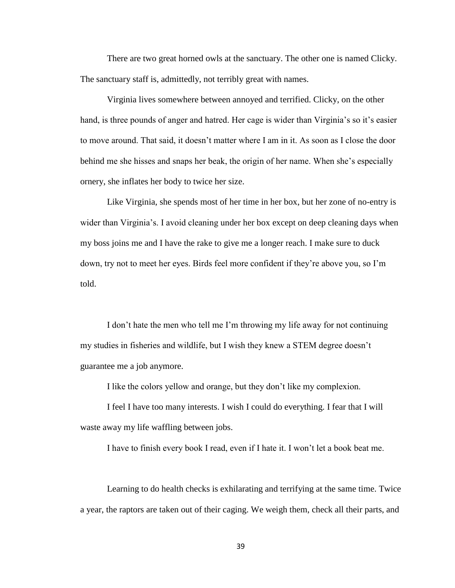There are two great horned owls at the sanctuary. The other one is named Clicky. The sanctuary staff is, admittedly, not terribly great with names.

Virginia lives somewhere between annoyed and terrified. Clicky, on the other hand, is three pounds of anger and hatred. Her cage is wider than Virginia's so it's easier to move around. That said, it doesn't matter where I am in it. As soon as I close the door behind me she hisses and snaps her beak, the origin of her name. When she's especially ornery, she inflates her body to twice her size.

Like Virginia, she spends most of her time in her box, but her zone of no-entry is wider than Virginia's. I avoid cleaning under her box except on deep cleaning days when my boss joins me and I have the rake to give me a longer reach. I make sure to duck down, try not to meet her eyes. Birds feel more confident if they're above you, so I'm told.

I don't hate the men who tell me I'm throwing my life away for not continuing my studies in fisheries and wildlife, but I wish they knew a STEM degree doesn't guarantee me a job anymore.

I like the colors yellow and orange, but they don't like my complexion.

I feel I have too many interests. I wish I could do everything. I fear that I will waste away my life waffling between jobs.

I have to finish every book I read, even if I hate it. I won't let a book beat me.

Learning to do health checks is exhilarating and terrifying at the same time. Twice a year, the raptors are taken out of their caging. We weigh them, check all their parts, and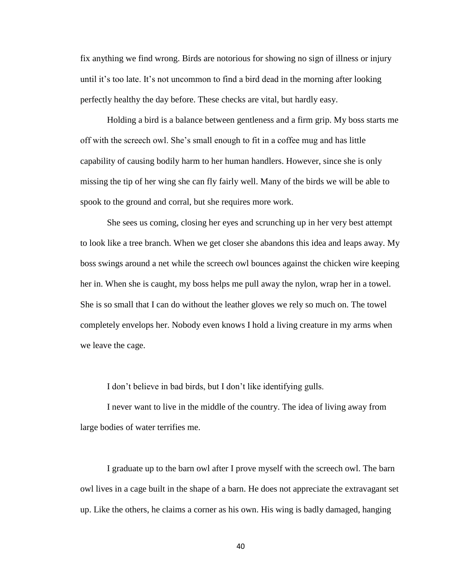fix anything we find wrong. Birds are notorious for showing no sign of illness or injury until it's too late. It's not uncommon to find a bird dead in the morning after looking perfectly healthy the day before. These checks are vital, but hardly easy.

Holding a bird is a balance between gentleness and a firm grip. My boss starts me off with the screech owl. She's small enough to fit in a coffee mug and has little capability of causing bodily harm to her human handlers. However, since she is only missing the tip of her wing she can fly fairly well. Many of the birds we will be able to spook to the ground and corral, but she requires more work.

She sees us coming, closing her eyes and scrunching up in her very best attempt to look like a tree branch. When we get closer she abandons this idea and leaps away. My boss swings around a net while the screech owl bounces against the chicken wire keeping her in. When she is caught, my boss helps me pull away the nylon, wrap her in a towel. She is so small that I can do without the leather gloves we rely so much on. The towel completely envelops her. Nobody even knows I hold a living creature in my arms when we leave the cage.

I don't believe in bad birds, but I don't like identifying gulls.

I never want to live in the middle of the country. The idea of living away from large bodies of water terrifies me.

I graduate up to the barn owl after I prove myself with the screech owl. The barn owl lives in a cage built in the shape of a barn. He does not appreciate the extravagant set up. Like the others, he claims a corner as his own. His wing is badly damaged, hanging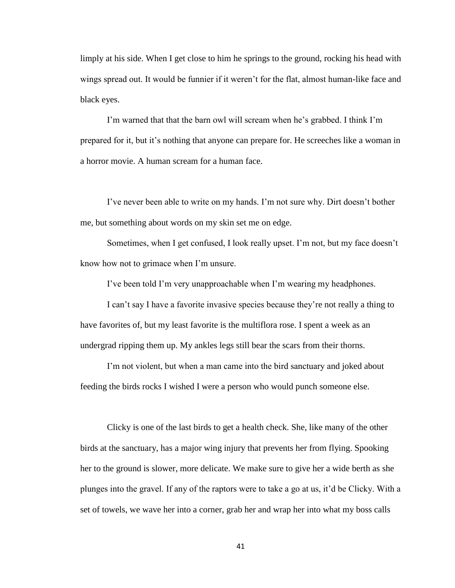limply at his side. When I get close to him he springs to the ground, rocking his head with wings spread out. It would be funnier if it weren't for the flat, almost human-like face and black eyes.

I'm warned that that the barn owl will scream when he's grabbed. I think I'm prepared for it, but it's nothing that anyone can prepare for. He screeches like a woman in a horror movie. A human scream for a human face.

I've never been able to write on my hands. I'm not sure why. Dirt doesn't bother me, but something about words on my skin set me on edge.

Sometimes, when I get confused, I look really upset. I'm not, but my face doesn't know how not to grimace when I'm unsure.

I've been told I'm very unapproachable when I'm wearing my headphones.

I can't say I have a favorite invasive species because they're not really a thing to have favorites of, but my least favorite is the multiflora rose. I spent a week as an undergrad ripping them up. My ankles legs still bear the scars from their thorns.

I'm not violent, but when a man came into the bird sanctuary and joked about feeding the birds rocks I wished I were a person who would punch someone else.

Clicky is one of the last birds to get a health check. She, like many of the other birds at the sanctuary, has a major wing injury that prevents her from flying. Spooking her to the ground is slower, more delicate. We make sure to give her a wide berth as she plunges into the gravel. If any of the raptors were to take a go at us, it'd be Clicky. With a set of towels, we wave her into a corner, grab her and wrap her into what my boss calls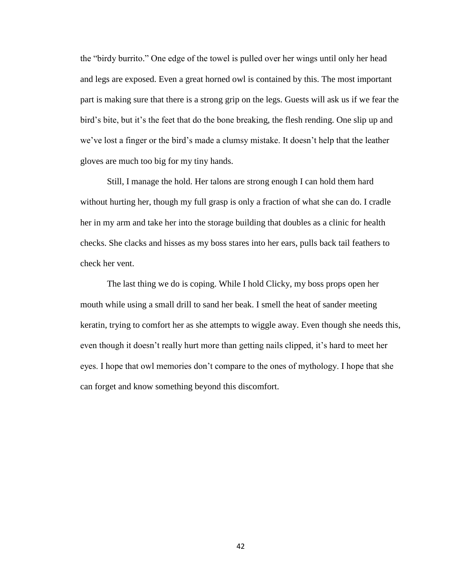the "birdy burrito." One edge of the towel is pulled over her wings until only her head and legs are exposed. Even a great horned owl is contained by this. The most important part is making sure that there is a strong grip on the legs. Guests will ask us if we fear the bird's bite, but it's the feet that do the bone breaking, the flesh rending. One slip up and we've lost a finger or the bird's made a clumsy mistake. It doesn't help that the leather gloves are much too big for my tiny hands.

Still, I manage the hold. Her talons are strong enough I can hold them hard without hurting her, though my full grasp is only a fraction of what she can do. I cradle her in my arm and take her into the storage building that doubles as a clinic for health checks. She clacks and hisses as my boss stares into her ears, pulls back tail feathers to check her vent.

The last thing we do is coping. While I hold Clicky, my boss props open her mouth while using a small drill to sand her beak. I smell the heat of sander meeting keratin, trying to comfort her as she attempts to wiggle away. Even though she needs this, even though it doesn't really hurt more than getting nails clipped, it's hard to meet her eyes. I hope that owl memories don't compare to the ones of mythology. I hope that she can forget and know something beyond this discomfort.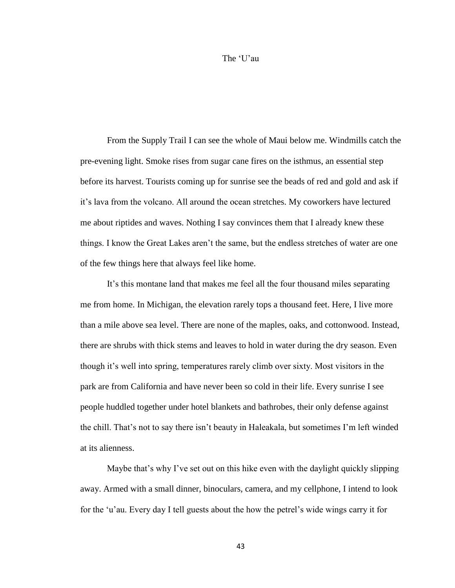#### The 'U'au

From the Supply Trail I can see the whole of Maui below me. Windmills catch the pre-evening light. Smoke rises from sugar cane fires on the isthmus, an essential step before its harvest. Tourists coming up for sunrise see the beads of red and gold and ask if it's lava from the volcano. All around the ocean stretches. My coworkers have lectured me about riptides and waves. Nothing I say convinces them that I already knew these things. I know the Great Lakes aren't the same, but the endless stretches of water are one of the few things here that always feel like home.

It's this montane land that makes me feel all the four thousand miles separating me from home. In Michigan, the elevation rarely tops a thousand feet. Here, I live more than a mile above sea level. There are none of the maples, oaks, and cottonwood. Instead, there are shrubs with thick stems and leaves to hold in water during the dry season. Even though it's well into spring, temperatures rarely climb over sixty. Most visitors in the park are from California and have never been so cold in their life. Every sunrise I see people huddled together under hotel blankets and bathrobes, their only defense against the chill. That's not to say there isn't beauty in Haleakala, but sometimes I'm left winded at its alienness.

Maybe that's why I've set out on this hike even with the daylight quickly slipping away. Armed with a small dinner, binoculars, camera, and my cellphone, I intend to look for the 'u'au. Every day I tell guests about the how the petrel's wide wings carry it for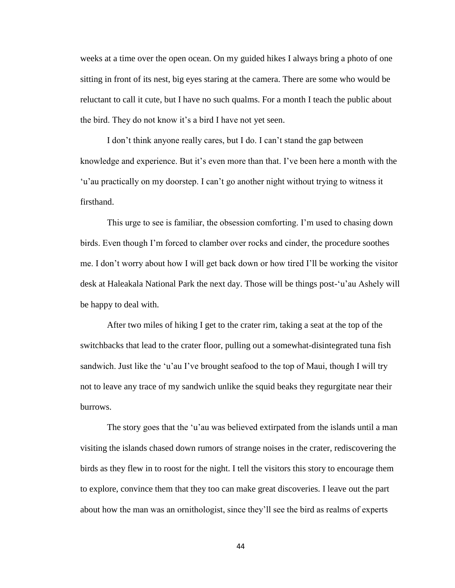weeks at a time over the open ocean. On my guided hikes I always bring a photo of one sitting in front of its nest, big eyes staring at the camera. There are some who would be reluctant to call it cute, but I have no such qualms. For a month I teach the public about the bird. They do not know it's a bird I have not yet seen.

I don't think anyone really cares, but I do. I can't stand the gap between knowledge and experience. But it's even more than that. I've been here a month with the 'u'au practically on my doorstep. I can't go another night without trying to witness it firsthand.

This urge to see is familiar, the obsession comforting. I'm used to chasing down birds. Even though I'm forced to clamber over rocks and cinder, the procedure soothes me. I don't worry about how I will get back down or how tired I'll be working the visitor desk at Haleakala National Park the next day. Those will be things post-'u'au Ashely will be happy to deal with.

After two miles of hiking I get to the crater rim, taking a seat at the top of the switchbacks that lead to the crater floor, pulling out a somewhat-disintegrated tuna fish sandwich. Just like the 'u'au I've brought seafood to the top of Maui, though I will try not to leave any trace of my sandwich unlike the squid beaks they regurgitate near their burrows.

The story goes that the 'u'au was believed extirpated from the islands until a man visiting the islands chased down rumors of strange noises in the crater, rediscovering the birds as they flew in to roost for the night. I tell the visitors this story to encourage them to explore, convince them that they too can make great discoveries. I leave out the part about how the man was an ornithologist, since they'll see the bird as realms of experts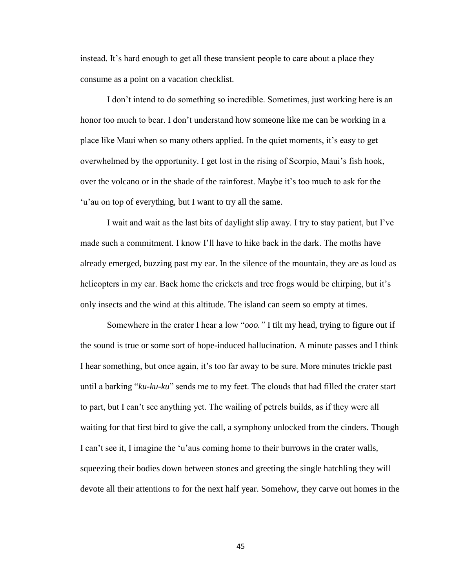instead. It's hard enough to get all these transient people to care about a place they consume as a point on a vacation checklist.

I don't intend to do something so incredible. Sometimes, just working here is an honor too much to bear. I don't understand how someone like me can be working in a place like Maui when so many others applied. In the quiet moments, it's easy to get overwhelmed by the opportunity. I get lost in the rising of Scorpio, Maui's fish hook, over the volcano or in the shade of the rainforest. Maybe it's too much to ask for the 'u'au on top of everything, but I want to try all the same.

I wait and wait as the last bits of daylight slip away. I try to stay patient, but I've made such a commitment. I know I'll have to hike back in the dark. The moths have already emerged, buzzing past my ear. In the silence of the mountain, they are as loud as helicopters in my ear. Back home the crickets and tree frogs would be chirping, but it's only insects and the wind at this altitude. The island can seem so empty at times.

Somewhere in the crater I hear a low "*ooo."* I tilt my head, trying to figure out if the sound is true or some sort of hope-induced hallucination. A minute passes and I think I hear something, but once again, it's too far away to be sure. More minutes trickle past until a barking "*ku-ku-ku*" sends me to my feet. The clouds that had filled the crater start to part, but I can't see anything yet. The wailing of petrels builds, as if they were all waiting for that first bird to give the call, a symphony unlocked from the cinders. Though I can't see it, I imagine the 'u'aus coming home to their burrows in the crater walls, squeezing their bodies down between stones and greeting the single hatchling they will devote all their attentions to for the next half year. Somehow, they carve out homes in the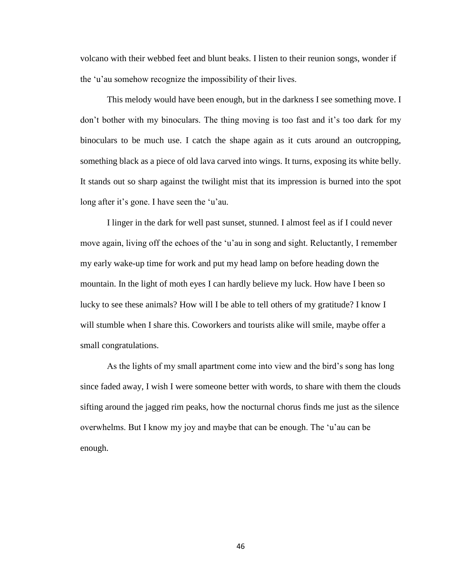volcano with their webbed feet and blunt beaks. I listen to their reunion songs, wonder if the 'u'au somehow recognize the impossibility of their lives.

This melody would have been enough, but in the darkness I see something move. I don't bother with my binoculars. The thing moving is too fast and it's too dark for my binoculars to be much use. I catch the shape again as it cuts around an outcropping, something black as a piece of old lava carved into wings. It turns, exposing its white belly. It stands out so sharp against the twilight mist that its impression is burned into the spot long after it's gone. I have seen the 'u'au.

I linger in the dark for well past sunset, stunned. I almost feel as if I could never move again, living off the echoes of the 'u'au in song and sight. Reluctantly, I remember my early wake-up time for work and put my head lamp on before heading down the mountain. In the light of moth eyes I can hardly believe my luck. How have I been so lucky to see these animals? How will I be able to tell others of my gratitude? I know I will stumble when I share this. Coworkers and tourists alike will smile, maybe offer a small congratulations.

As the lights of my small apartment come into view and the bird's song has long since faded away, I wish I were someone better with words, to share with them the clouds sifting around the jagged rim peaks, how the nocturnal chorus finds me just as the silence overwhelms. But I know my joy and maybe that can be enough. The 'u'au can be enough.